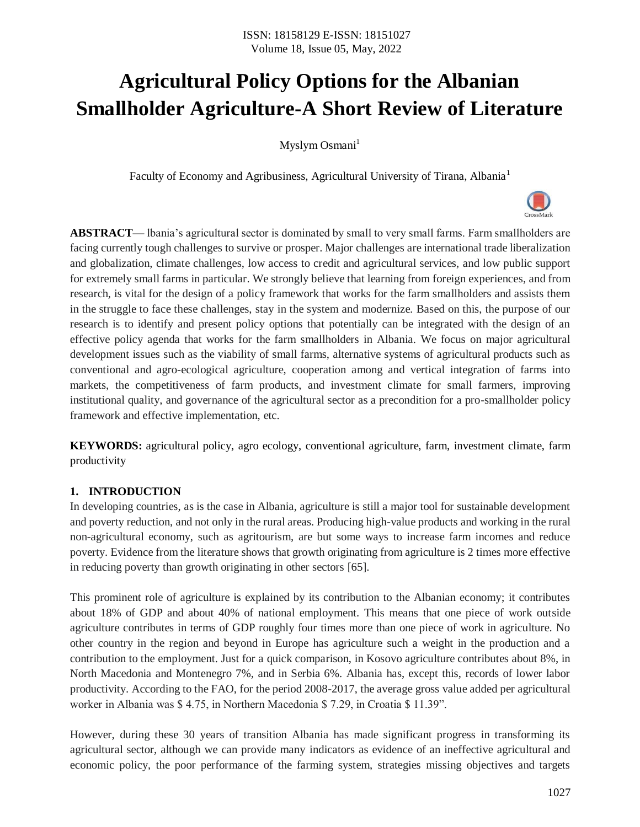# **Agricultural Policy Options for the Albanian Smallholder Agriculture-A Short Review of Literature**

Myslym Osmani<sup>1</sup>

Faculty of Economy and Agribusiness, Agricultural University of Tirana, Albania<sup>1</sup>

**ABSTRACT**— lbania's agricultural sector is dominated by small to very small farms. Farm smallholders are facing currently tough challenges to survive or prosper. Major challenges are international trade liberalization and globalization, climate challenges, low access to credit and agricultural services, and low public support for extremely small farms in particular. We strongly believe that learning from foreign experiences, and from research, is vital for the design of a policy framework that works for the farm smallholders and assists them in the struggle to face these challenges, stay in the system and modernize. Based on this, the purpose of our research is to identify and present policy options that potentially can be integrated with the design of an effective policy agenda that works for the farm smallholders in Albania. We focus on major agricultural development issues such as the viability of small farms, alternative systems of agricultural products such as conventional and agro-ecological agriculture, cooperation among and vertical integration of farms into markets, the competitiveness of farm products, and investment climate for small farmers, improving institutional quality, and governance of the agricultural sector as a precondition for a pro-smallholder policy framework and effective implementation, etc.

**KEYWORDS:** agricultural policy, agro ecology, conventional agriculture, farm, investment climate, farm productivity

## **1. INTRODUCTION**

In developing countries, as is the case in Albania, agriculture is still a major tool for sustainable development and poverty reduction, and not only in the rural areas. Producing high-value products and working in the rural non-agricultural economy, such as agritourism, are but some ways to increase farm incomes and reduce poverty. Evidence from the literature shows that growth originating from agriculture is 2 times more effective in reducing poverty than growth originating in other sectors [65].

This prominent role of agriculture is explained by its contribution to the Albanian economy; it contributes about 18% of GDP and about 40% of national employment. This means that one piece of work outside agriculture contributes in terms of GDP roughly four times more than one piece of work in agriculture. No other country in the region and beyond in Europe has agriculture such a weight in the production and a contribution to the employment. Just for a quick comparison, in Kosovo agriculture contributes about 8%, in North Macedonia and Montenegro 7%, and in Serbia 6%. Albania has, except this, records of lower labor productivity. According to the FAO, for the period 2008-2017, the average gross value added per agricultural worker in Albania was \$ 4.75, in Northern Macedonia \$ 7.29, in Croatia \$ 11.39".

However, during these 30 years of transition Albania has made significant progress in transforming its agricultural sector, although we can provide many indicators as evidence of an ineffective agricultural and economic policy, the poor performance of the farming system, strategies missing objectives and targets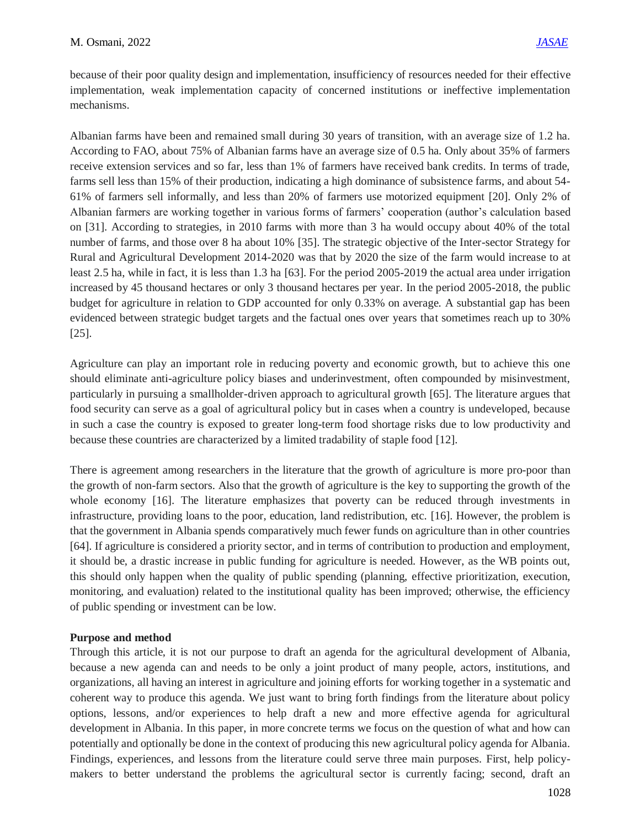because of their poor quality design and implementation, insufficiency of resources needed for their effective implementation, weak implementation capacity of concerned institutions or ineffective implementation mechanisms.

Albanian farms have been and remained small during 30 years of transition, with an average size of 1.2 ha. According to FAO, about 75% of Albanian farms have an average size of 0.5 ha. Only about 35% of farmers receive extension services and so far, less than 1% of farmers have received bank credits. In terms of trade, farms sell less than 15% of their production, indicating a high dominance of subsistence farms, and about 54- 61% of farmers sell informally, and less than 20% of farmers use motorized equipment [20]. Only 2% of Albanian farmers are working together in various forms of farmers' cooperation (author's calculation based on [31]. According to strategies, in 2010 farms with more than 3 ha would occupy about 40% of the total number of farms, and those over 8 ha about 10% [35]. The strategic objective of the Inter-sector Strategy for Rural and Agricultural Development 2014-2020 was that by 2020 the size of the farm would increase to at least 2.5 ha, while in fact, it is less than 1.3 ha [63]. For the period 2005-2019 the actual area under irrigation increased by 45 thousand hectares or only 3 thousand hectares per year. In the period 2005-2018, the public budget for agriculture in relation to GDP accounted for only 0.33% on average. A substantial gap has been evidenced between strategic budget targets and the factual ones over years that sometimes reach up to 30% [25].

Agriculture can play an important role in reducing poverty and economic growth, but to achieve this one should eliminate anti-agriculture policy biases and underinvestment, often compounded by misinvestment, particularly in pursuing a smallholder-driven approach to agricultural growth [65]. The literature argues that food security can serve as a goal of agricultural policy but in cases when a country is undeveloped, because in such a case the country is exposed to greater long-term food shortage risks due to low productivity and because these countries are characterized by a limited tradability of staple food [12].

There is agreement among researchers in the literature that the growth of agriculture is more pro-poor than the growth of non-farm sectors. Also that the growth of agriculture is the key to supporting the growth of the whole economy [16]. The literature emphasizes that poverty can be reduced through investments in infrastructure, providing loans to the poor, education, land redistribution, etc. [16]. However, the problem is that the government in Albania spends comparatively much fewer funds on agriculture than in other countries [64]. If agriculture is considered a priority sector, and in terms of contribution to production and employment, it should be, a drastic increase in public funding for agriculture is needed. However, as the WB points out, this should only happen when the quality of public spending (planning, effective prioritization, execution, monitoring, and evaluation) related to the institutional quality has been improved; otherwise, the efficiency of public spending or investment can be low.

## **Purpose and method**

Through this article, it is not our purpose to draft an agenda for the agricultural development of Albania, because a new agenda can and needs to be only a joint product of many people, actors, institutions, and organizations, all having an interest in agriculture and joining efforts for working together in a systematic and coherent way to produce this agenda. We just want to bring forth findings from the literature about policy options, lessons, and/or experiences to help draft a new and more effective agenda for agricultural development in Albania. In this paper, in more concrete terms we focus on the question of what and how can potentially and optionally be done in the context of producing this new agricultural policy agenda for Albania. Findings, experiences, and lessons from the literature could serve three main purposes. First, help policymakers to better understand the problems the agricultural sector is currently facing; second, draft an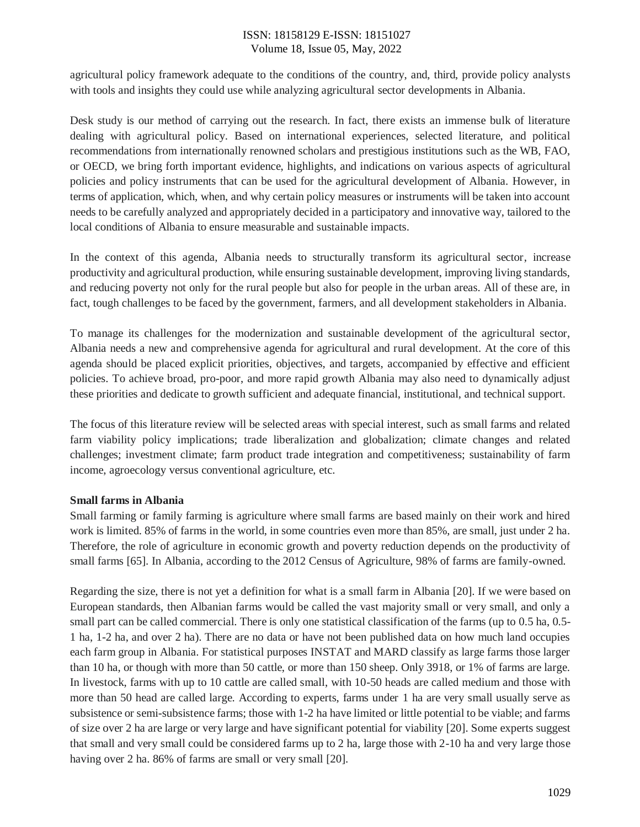agricultural policy framework adequate to the conditions of the country, and, third, provide policy analysts with tools and insights they could use while analyzing agricultural sector developments in Albania.

Desk study is our method of carrying out the research. In fact, there exists an immense bulk of literature dealing with agricultural policy. Based on international experiences, selected literature, and political recommendations from internationally renowned scholars and prestigious institutions such as the WB, FAO, or OECD, we bring forth important evidence, highlights, and indications on various aspects of agricultural policies and policy instruments that can be used for the agricultural development of Albania. However, in terms of application, which, when, and why certain policy measures or instruments will be taken into account needs to be carefully analyzed and appropriately decided in a participatory and innovative way, tailored to the local conditions of Albania to ensure measurable and sustainable impacts.

In the context of this agenda, Albania needs to structurally transform its agricultural sector, increase productivity and agricultural production, while ensuring sustainable development, improving living standards, and reducing poverty not only for the rural people but also for people in the urban areas. All of these are, in fact, tough challenges to be faced by the government, farmers, and all development stakeholders in Albania.

To manage its challenges for the modernization and sustainable development of the agricultural sector, Albania needs a new and comprehensive agenda for agricultural and rural development. At the core of this agenda should be placed explicit priorities, objectives, and targets, accompanied by effective and efficient policies. To achieve broad, pro-poor, and more rapid growth Albania may also need to dynamically adjust these priorities and dedicate to growth sufficient and adequate financial, institutional, and technical support.

The focus of this literature review will be selected areas with special interest, such as small farms and related farm viability policy implications; trade liberalization and globalization; climate changes and related challenges; investment climate; farm product trade integration and competitiveness; sustainability of farm income, agroecology versus conventional agriculture, etc.

## **Small farms in Albania**

Small farming or family farming is agriculture where small farms are based mainly on their work and hired work is limited. 85% of farms in the world, in some countries even more than 85%, are small, just under 2 ha. Therefore, the role of agriculture in economic growth and poverty reduction depends on the productivity of small farms [65]. In Albania, according to the 2012 Census of Agriculture, 98% of farms are family-owned.

Regarding the size, there is not yet a definition for what is a small farm in Albania [20]. If we were based on European standards, then Albanian farms would be called the vast majority small or very small, and only a small part can be called commercial. There is only one statistical classification of the farms (up to 0.5 ha, 0.5-1 ha, 1-2 ha, and over 2 ha). There are no data or have not been published data on how much land occupies each farm group in Albania. For statistical purposes INSTAT and MARD classify as large farms those larger than 10 ha, or though with more than 50 cattle, or more than 150 sheep. Only 3918, or 1% of farms are large. In livestock, farms with up to 10 cattle are called small, with 10-50 heads are called medium and those with more than 50 head are called large. According to experts, farms under 1 ha are very small usually serve as subsistence or semi-subsistence farms; those with 1-2 ha have limited or little potential to be viable; and farms of size over 2 ha are large or very large and have significant potential for viability [20]. Some experts suggest that small and very small could be considered farms up to 2 ha, large those with 2-10 ha and very large those having over 2 ha. 86% of farms are small or very small [20].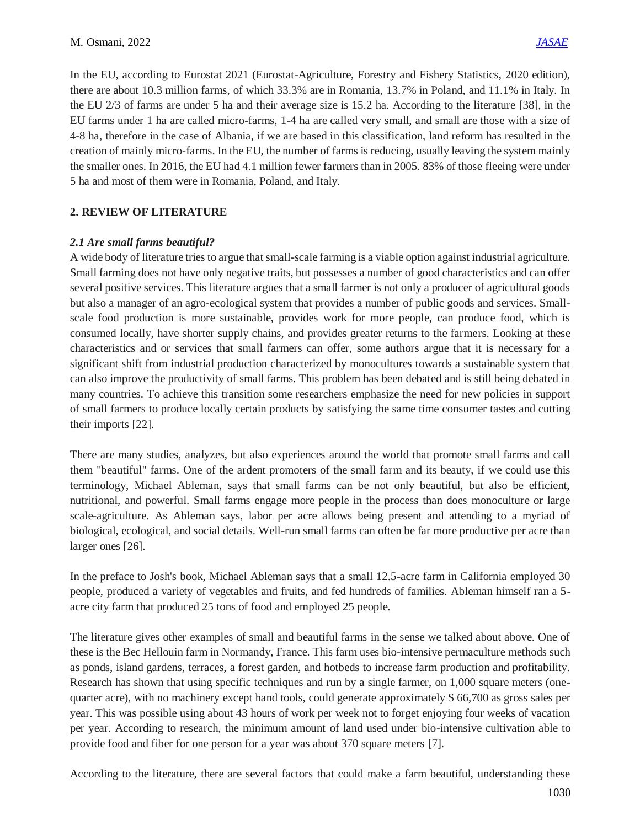In the EU, according to Eurostat 2021 (Eurostat-Agriculture, Forestry and Fishery Statistics, 2020 edition), there are about 10.3 million farms, of which 33.3% are in Romania, 13.7% in Poland, and 11.1% in Italy. In the EU 2/3 of farms are under 5 ha and their average size is 15.2 ha. According to the literature [38], in the EU farms under 1 ha are called micro-farms, 1-4 ha are called very small, and small are those with a size of 4-8 ha, therefore in the case of Albania, if we are based in this classification, land reform has resulted in the creation of mainly micro-farms. In the EU, the number of farms is reducing, usually leaving the system mainly the smaller ones. In 2016, the EU had 4.1 million fewer farmers than in 2005. 83% of those fleeing were under 5 ha and most of them were in Romania, Poland, and Italy.

## **2. REVIEW OF LITERATURE**

## *2.1 Are small farms beautiful?*

A wide body of literature tries to argue that small-scale farming is a viable option against industrial agriculture. Small farming does not have only negative traits, but possesses a number of good characteristics and can offer several positive services. This literature argues that a small farmer is not only a producer of agricultural goods but also a manager of an agro-ecological system that provides a number of public goods and services. Smallscale food production is more sustainable, provides work for more people, can produce food, which is consumed locally, have shorter supply chains, and provides greater returns to the farmers. Looking at these characteristics and or services that small farmers can offer, some authors argue that it is necessary for a significant shift from industrial production characterized by monocultures towards a sustainable system that can also improve the productivity of small farms. This problem has been debated and is still being debated in many countries. To achieve this transition some researchers emphasize the need for new policies in support of small farmers to produce locally certain products by satisfying the same time consumer tastes and cutting their imports [22].

There are many studies, analyzes, but also experiences around the world that promote small farms and call them "beautiful" farms. One of the ardent promoters of the small farm and its beauty, if we could use this terminology, Michael Ableman, says that small farms can be not only beautiful, but also be efficient, nutritional, and powerful. Small farms engage more people in the process than does monoculture or large scale-agriculture. As Ableman says, labor per acre allows being present and attending to a myriad of biological, ecological, and social details. Well-run small farms can often be far more productive per acre than larger ones [26].

In the preface to Josh's book, Michael Ableman says that a small 12.5-acre farm in California employed 30 people, produced a variety of vegetables and fruits, and fed hundreds of families. Ableman himself ran a 5 acre city farm that produced 25 tons of food and employed 25 people.

The literature gives other examples of small and beautiful farms in the sense we talked about above. One of these is the Bec Hellouin farm in Normandy, France. This farm uses bio-intensive permaculture methods such as ponds, island gardens, terraces, a forest garden, and hotbeds to increase farm production and profitability. Research has shown that using specific techniques and run by a single farmer, on 1,000 square meters (onequarter acre), with no machinery except hand tools, could generate approximately \$ 66,700 as gross sales per year. This was possible using about 43 hours of work per week not to forget enjoying four weeks of vacation per year. According to research, the minimum amount of land used under bio-intensive cultivation able to provide food and fiber for one person for a year was about 370 square meters [7].

According to the literature, there are several factors that could make a farm beautiful, understanding these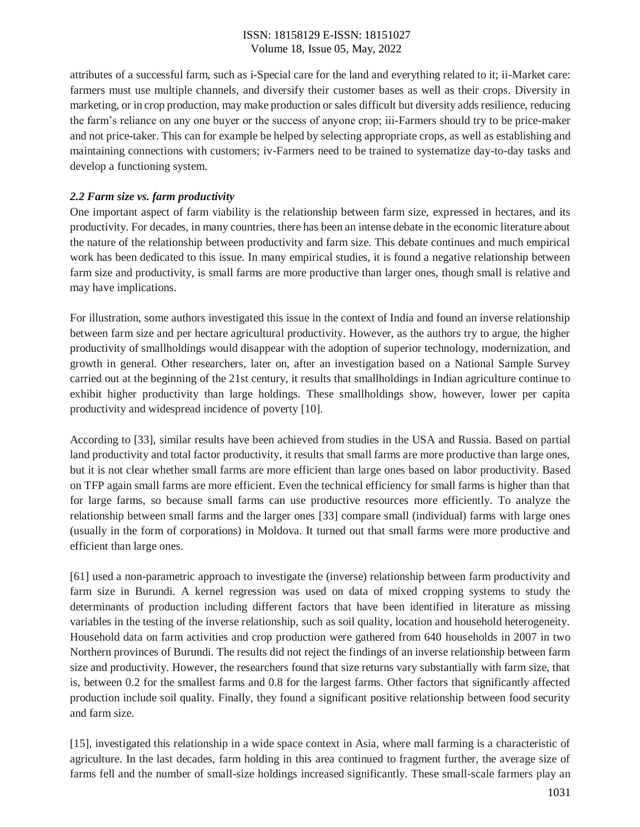attributes of a successful farm, such as i-Special care for the land and everything related to it; ii-Market care: farmers must use multiple channels, and diversify their customer bases as well as their crops. Diversity in marketing, or in crop production, may make production or sales difficult but diversity adds resilience, reducing the farm's reliance on any one buyer or the success of anyone crop; iii-Farmers should try to be price-maker and not price-taker. This can for example be helped by selecting appropriate crops, as well as establishing and maintaining connections with customers; iv-Farmers need to be trained to systematize day-to-day tasks and develop a functioning system.

## *2.2 Farm size vs. farm productivity*

One important aspect of farm viability is the relationship between farm size, expressed in hectares, and its productivity. For decades, in many countries, there has been an intense debate in the economic literature about the nature of the relationship between productivity and farm size. This debate continues and much empirical work has been dedicated to this issue. In many empirical studies, it is found a negative relationship between farm size and productivity, is small farms are more productive than larger ones, though small is relative and may have implications.

For illustration, some authors investigated this issue in the context of India and found an inverse relationship between farm size and per hectare agricultural productivity. However, as the authors try to argue, the higher productivity of smallholdings would disappear with the adoption of superior technology, modernization, and growth in general. Other researchers, later on, after an investigation based on a National Sample Survey carried out at the beginning of the 21st century, it results that smallholdings in Indian agriculture continue to exhibit higher productivity than large holdings. These smallholdings show, however, lower per capita productivity and widespread incidence of poverty [10].

According to [33], similar results have been achieved from studies in the USA and Russia. Based on partial land productivity and total factor productivity, it results that small farms are more productive than large ones, but it is not clear whether small farms are more efficient than large ones based on labor productivity. Based on TFP again small farms are more efficient. Even the technical efficiency for small farms is higher than that for large farms, so because small farms can use productive resources more efficiently. To analyze the relationship between small farms and the larger ones [33] compare small (individual) farms with large ones (usually in the form of corporations) in Moldova. It turned out that small farms were more productive and efficient than large ones.

[61] used a non-parametric approach to investigate the (inverse) relationship between farm productivity and farm size in Burundi. A kernel regression was used on data of mixed cropping systems to study the determinants of production including different factors that have been identified in literature as missing variables in the testing of the inverse relationship, such as soil quality, location and household heterogeneity. Household data on farm activities and crop production were gathered from 640 households in 2007 in two Northern provinces of Burundi. The results did not reject the findings of an inverse relationship between farm size and productivity. However, the researchers found that size returns vary substantially with farm size, that is, between 0.2 for the smallest farms and 0.8 for the largest farms. Other factors that significantly affected production include soil quality. Finally, they found a significant positive relationship between food security and farm size.

[15], investigated this relationship in a wide space context in Asia, where mall farming is a characteristic of agriculture. In the last decades, farm holding in this area continued to fragment further, the average size of farms fell and the number of small-size holdings increased significantly. These small-scale farmers play an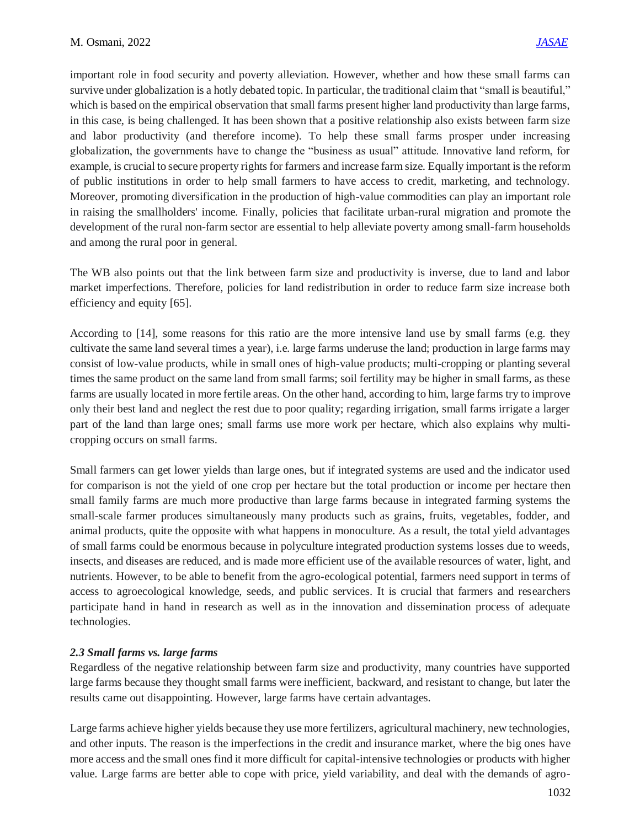important role in food security and poverty alleviation. However, whether and how these small farms can survive under globalization is a hotly debated topic. In particular, the traditional claim that "small is beautiful," which is based on the empirical observation that small farms present higher land productivity than large farms, in this case, is being challenged. It has been shown that a positive relationship also exists between farm size and labor productivity (and therefore income). To help these small farms prosper under increasing globalization, the governments have to change the "business as usual" attitude. Innovative land reform, for example, is crucial to secure property rights for farmers and increase farm size. Equally important is the reform of public institutions in order to help small farmers to have access to credit, marketing, and technology. Moreover, promoting diversification in the production of high-value commodities can play an important role in raising the smallholders' income. Finally, policies that facilitate urban-rural migration and promote the development of the rural non-farm sector are essential to help alleviate poverty among small-farm households and among the rural poor in general.

The WB also points out that the link between farm size and productivity is inverse, due to land and labor market imperfections. Therefore, policies for land redistribution in order to reduce farm size increase both efficiency and equity [65].

According to [14], some reasons for this ratio are the more intensive land use by small farms (e.g. they cultivate the same land several times a year), i.e. large farms underuse the land; production in large farms may consist of low-value products, while in small ones of high-value products; multi-cropping or planting several times the same product on the same land from small farms; soil fertility may be higher in small farms, as these farms are usually located in more fertile areas. On the other hand, according to him, large farms try to improve only their best land and neglect the rest due to poor quality; regarding irrigation, small farms irrigate a larger part of the land than large ones; small farms use more work per hectare, which also explains why multicropping occurs on small farms.

Small farmers can get lower yields than large ones, but if integrated systems are used and the indicator used for comparison is not the yield of one crop per hectare but the total production or income per hectare then small family farms are much more productive than large farms because in integrated farming systems the small-scale farmer produces simultaneously many products such as grains, fruits, vegetables, fodder, and animal products, quite the opposite with what happens in monoculture. As a result, the total yield advantages of small farms could be enormous because in polyculture integrated production systems losses due to weeds, insects, and diseases are reduced, and is made more efficient use of the available resources of water, light, and nutrients. However, to be able to benefit from the agro-ecological potential, farmers need support in terms of access to agroecological knowledge, seeds, and public services. It is crucial that farmers and researchers participate hand in hand in research as well as in the innovation and dissemination process of adequate technologies.

#### *2.3 Small farms vs. large farms*

Regardless of the negative relationship between farm size and productivity, many countries have supported large farms because they thought small farms were inefficient, backward, and resistant to change, but later the results came out disappointing. However, large farms have certain advantages.

Large farms achieve higher yields because they use more fertilizers, agricultural machinery, new technologies, and other inputs. The reason is the imperfections in the credit and insurance market, where the big ones have more access and the small ones find it more difficult for capital-intensive technologies or products with higher value. Large farms are better able to cope with price, yield variability, and deal with the demands of agro-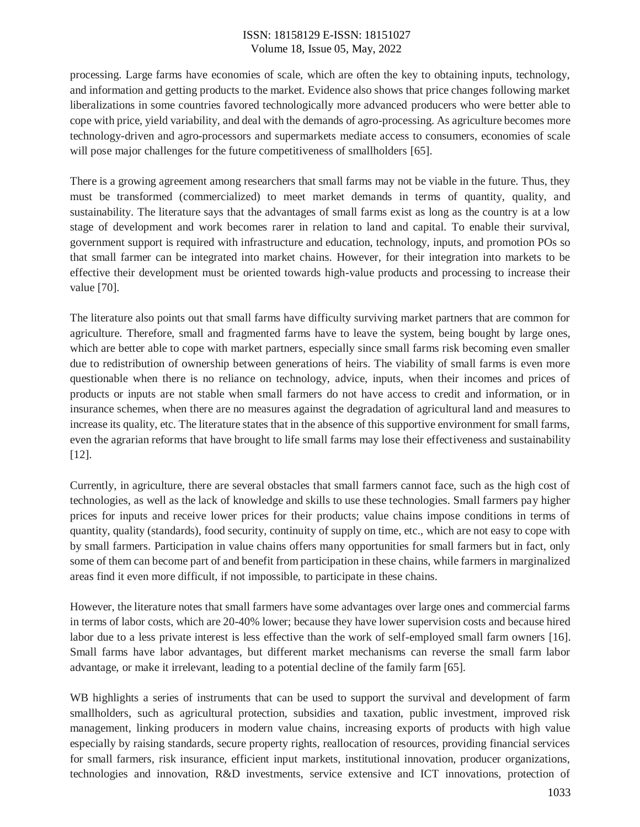processing. Large farms have economies of scale, which are often the key to obtaining inputs, technology, and information and getting products to the market. Evidence also shows that price changes following market liberalizations in some countries favored technologically more advanced producers who were better able to cope with price, yield variability, and deal with the demands of agro-processing. As agriculture becomes more technology-driven and agro-processors and supermarkets mediate access to consumers, economies of scale will pose major challenges for the future competitiveness of smallholders [65].

There is a growing agreement among researchers that small farms may not be viable in the future. Thus, they must be transformed (commercialized) to meet market demands in terms of quantity, quality, and sustainability. The literature says that the advantages of small farms exist as long as the country is at a low stage of development and work becomes rarer in relation to land and capital. To enable their survival, government support is required with infrastructure and education, technology, inputs, and promotion POs so that small farmer can be integrated into market chains. However, for their integration into markets to be effective their development must be oriented towards high-value products and processing to increase their value [70].

The literature also points out that small farms have difficulty surviving market partners that are common for agriculture. Therefore, small and fragmented farms have to leave the system, being bought by large ones, which are better able to cope with market partners, especially since small farms risk becoming even smaller due to redistribution of ownership between generations of heirs. The viability of small farms is even more questionable when there is no reliance on technology, advice, inputs, when their incomes and prices of products or inputs are not stable when small farmers do not have access to credit and information, or in insurance schemes, when there are no measures against the degradation of agricultural land and measures to increase its quality, etc. The literature states that in the absence of this supportive environment for small farms, even the agrarian reforms that have brought to life small farms may lose their effectiveness and sustainability [12].

Currently, in agriculture, there are several obstacles that small farmers cannot face, such as the high cost of technologies, as well as the lack of knowledge and skills to use these technologies. Small farmers pay higher prices for inputs and receive lower prices for their products; value chains impose conditions in terms of quantity, quality (standards), food security, continuity of supply on time, etc., which are not easy to cope with by small farmers. Participation in value chains offers many opportunities for small farmers but in fact, only some of them can become part of and benefit from participation in these chains, while farmers in marginalized areas find it even more difficult, if not impossible, to participate in these chains.

However, the literature notes that small farmers have some advantages over large ones and commercial farms in terms of labor costs, which are 20-40% lower; because they have lower supervision costs and because hired labor due to a less private interest is less effective than the work of self-employed small farm owners [16]. Small farms have labor advantages, but different market mechanisms can reverse the small farm labor advantage, or make it irrelevant, leading to a potential decline of the family farm [65].

WB highlights a series of instruments that can be used to support the survival and development of farm smallholders, such as agricultural protection, subsidies and taxation, public investment, improved risk management, linking producers in modern value chains, increasing exports of products with high value especially by raising standards, secure property rights, reallocation of resources, providing financial services for small farmers, risk insurance, efficient input markets, institutional innovation, producer organizations, technologies and innovation, R&D investments, service extensive and ICT innovations, protection of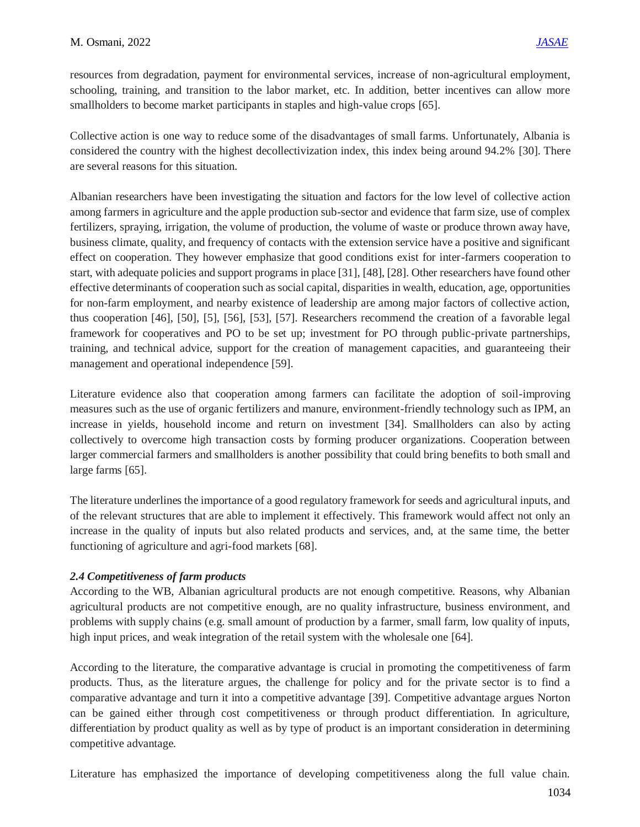resources from degradation, payment for environmental services, increase of non-agricultural employment, schooling, training, and transition to the labor market, etc. In addition, better incentives can allow more smallholders to become market participants in staples and high-value crops [65].

Collective action is one way to reduce some of the disadvantages of small farms. Unfortunately, Albania is considered the country with the highest decollectivization index, this index being around 94.2% [30]. There are several reasons for this situation.

Albanian researchers have been investigating the situation and factors for the low level of collective action among farmers in agriculture and the apple production sub-sector and evidence that farm size, use of complex fertilizers, spraying, irrigation, the volume of production, the volume of waste or produce thrown away have, business climate, quality, and frequency of contacts with the extension service have a positive and significant effect on cooperation. They however emphasize that good conditions exist for inter-farmers cooperation to start, with adequate policies and support programs in place [31], [48], [28]. Other researchers have found other effective determinants of cooperation such as social capital, disparities in wealth, education, age, opportunities for non-farm employment, and nearby existence of leadership are among major factors of collective action, thus cooperation [46], [50], [5], [56], [53], [57]. Researchers recommend the creation of a favorable legal framework for cooperatives and PO to be set up; investment for PO through public-private partnerships, training, and technical advice, support for the creation of management capacities, and guaranteeing their management and operational independence [59].

Literature evidence also that cooperation among farmers can facilitate the adoption of soil-improving measures such as the use of organic fertilizers and manure, environment-friendly technology such as IPM, an increase in yields, household income and return on investment [34]. Smallholders can also by acting collectively to overcome high transaction costs by forming producer organizations. Cooperation between larger commercial farmers and smallholders is another possibility that could bring benefits to both small and large farms [65].

The literature underlines the importance of a good regulatory framework for seeds and agricultural inputs, and of the relevant structures that are able to implement it effectively. This framework would affect not only an increase in the quality of inputs but also related products and services, and, at the same time, the better functioning of agriculture and agri-food markets [68].

## *2.4 Competitiveness of farm products*

According to the WB, Albanian agricultural products are not enough competitive. Reasons, why Albanian agricultural products are not competitive enough, are no quality infrastructure, business environment, and problems with supply chains (e.g. small amount of production by a farmer, small farm, low quality of inputs, high input prices, and weak integration of the retail system with the wholesale one [64].

According to the literature, the comparative advantage is crucial in promoting the competitiveness of farm products. Thus, as the literature argues, the challenge for policy and for the private sector is to find a comparative advantage and turn it into a competitive advantage [39]. Competitive advantage argues Norton can be gained either through cost competitiveness or through product differentiation. In agriculture, differentiation by product quality as well as by type of product is an important consideration in determining competitive advantage.

Literature has emphasized the importance of developing competitiveness along the full value chain.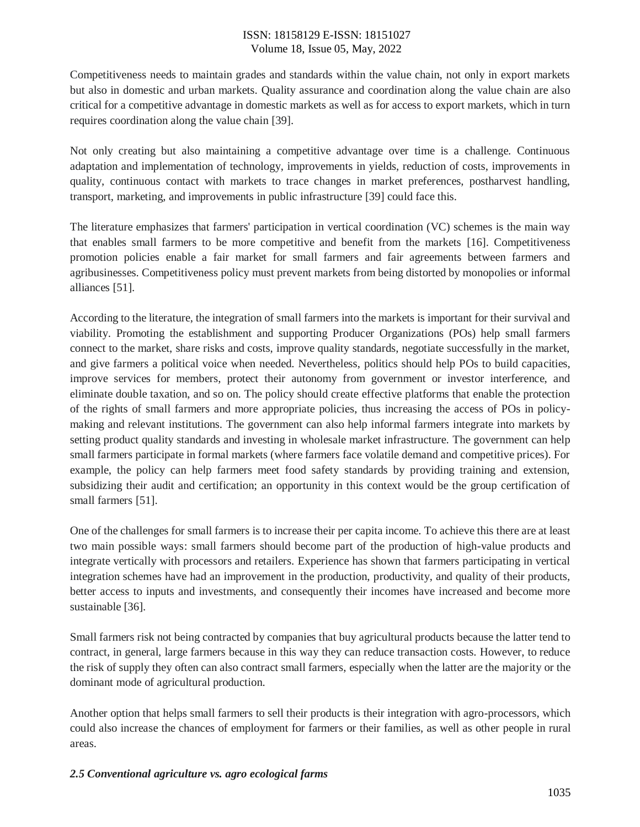Competitiveness needs to maintain grades and standards within the value chain, not only in export markets but also in domestic and urban markets. Quality assurance and coordination along the value chain are also critical for a competitive advantage in domestic markets as well as for access to export markets, which in turn requires coordination along the value chain [39].

Not only creating but also maintaining a competitive advantage over time is a challenge. Continuous adaptation and implementation of technology, improvements in yields, reduction of costs, improvements in quality, continuous contact with markets to trace changes in market preferences, postharvest handling, transport, marketing, and improvements in public infrastructure [39] could face this.

The literature emphasizes that farmers' participation in vertical coordination (VC) schemes is the main way that enables small farmers to be more competitive and benefit from the markets [16]. Competitiveness promotion policies enable a fair market for small farmers and fair agreements between farmers and agribusinesses. Competitiveness policy must prevent markets from being distorted by monopolies or informal alliances [51].

According to the literature, the integration of small farmers into the markets is important for their survival and viability. Promoting the establishment and supporting Producer Organizations (POs) help small farmers connect to the market, share risks and costs, improve quality standards, negotiate successfully in the market, and give farmers a political voice when needed. Nevertheless, politics should help POs to build capacities, improve services for members, protect their autonomy from government or investor interference, and eliminate double taxation, and so on. The policy should create effective platforms that enable the protection of the rights of small farmers and more appropriate policies, thus increasing the access of POs in policymaking and relevant institutions. The government can also help informal farmers integrate into markets by setting product quality standards and investing in wholesale market infrastructure. The government can help small farmers participate in formal markets (where farmers face volatile demand and competitive prices). For example, the policy can help farmers meet food safety standards by providing training and extension, subsidizing their audit and certification; an opportunity in this context would be the group certification of small farmers [51].

One of the challenges for small farmers is to increase their per capita income. To achieve this there are at least two main possible ways: small farmers should become part of the production of high-value products and integrate vertically with processors and retailers. Experience has shown that farmers participating in vertical integration schemes have had an improvement in the production, productivity, and quality of their products, better access to inputs and investments, and consequently their incomes have increased and become more sustainable [36].

Small farmers risk not being contracted by companies that buy agricultural products because the latter tend to contract, in general, large farmers because in this way they can reduce transaction costs. However, to reduce the risk of supply they often can also contract small farmers, especially when the latter are the majority or the dominant mode of agricultural production.

Another option that helps small farmers to sell their products is their integration with agro-processors, which could also increase the chances of employment for farmers or their families, as well as other people in rural areas.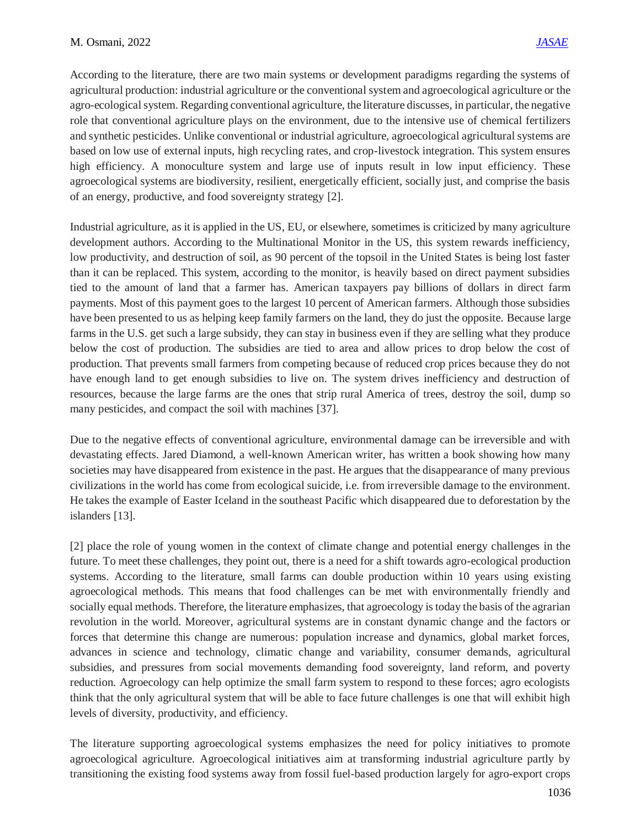According to the literature, there are two main systems or development paradigms regarding the systems of agricultural production: industrial agriculture or the conventional system and agroecological agriculture or the agro-ecological system. Regarding conventional agriculture, the literature discusses, in particular, the negative role that conventional agriculture plays on the environment, due to the intensive use of chemical fertilizers and synthetic pesticides. Unlike conventional or industrial agriculture, agroecological agricultural systems are based on low use of external inputs, high recycling rates, and crop-livestock integration. This system ensures high efficiency. A monoculture system and large use of inputs result in low input efficiency. These agroecological systems are biodiversity, resilient, energetically efficient, socially just, and comprise the basis of an energy, productive, and food sovereignty strategy [2].

Industrial agriculture, as it is applied in the US, EU, or elsewhere, sometimes is criticized by many agriculture development authors. According to the Multinational Monitor in the US, this system rewards inefficiency, low productivity, and destruction of soil, as 90 percent of the topsoil in the United States is being lost faster than it can be replaced. This system, according to the monitor, is heavily based on direct payment subsidies tied to the amount of land that a farmer has. American taxpayers pay billions of dollars in direct farm payments. Most of this payment goes to the largest 10 percent of American farmers. Although those subsidies have been presented to us as helping keep family farmers on the land, they do just the opposite. Because large farms in the U.S. get such a large subsidy, they can stay in business even if they are selling what they produce below the cost of production. The subsidies are tied to area and allow prices to drop below the cost of production. That prevents small farmers from competing because of reduced crop prices because they do not have enough land to get enough subsidies to live on. The system drives inefficiency and destruction of resources, because the large farms are the ones that strip rural America of trees, destroy the soil, dump so many pesticides, and compact the soil with machines [37].

Due to the negative effects of conventional agriculture, environmental damage can be irreversible and with devastating effects. Jared Diamond, a well-known American writer, has written a book showing how many societies may have disappeared from existence in the past. He argues that the disappearance of many previous civilizations in the world has come from ecological suicide, i.e. from irreversible damage to the environment. He takes the example of Easter Iceland in the southeast Pacific which disappeared due to deforestation by the islanders [13].

[2] place the role of young women in the context of climate change and potential energy challenges in the future. To meet these challenges, they point out, there is a need for a shift towards agro-ecological production systems. According to the literature, small farms can double production within 10 years using existing agroecological methods. This means that food challenges can be met with environmentally friendly and socially equal methods. Therefore, the literature emphasizes, that agroecology is today the basis of the agrarian revolution in the world. Moreover, agricultural systems are in constant dynamic change and the factors or forces that determine this change are numerous: population increase and dynamics, global market forces, advances in science and technology, climatic change and variability, consumer demands, agricultural subsidies, and pressures from social movements demanding food sovereignty, land reform, and poverty reduction. Agroecology can help optimize the small farm system to respond to these forces; agro ecologists think that the only agricultural system that will be able to face future challenges is one that will exhibit high levels of diversity, productivity, and efficiency.

The literature supporting agroecological systems emphasizes the need for policy initiatives to promote agroecological agriculture. Agroecological initiatives aim at transforming industrial agriculture partly by transitioning the existing food systems away from fossil fuel-based production largely for agro-export crops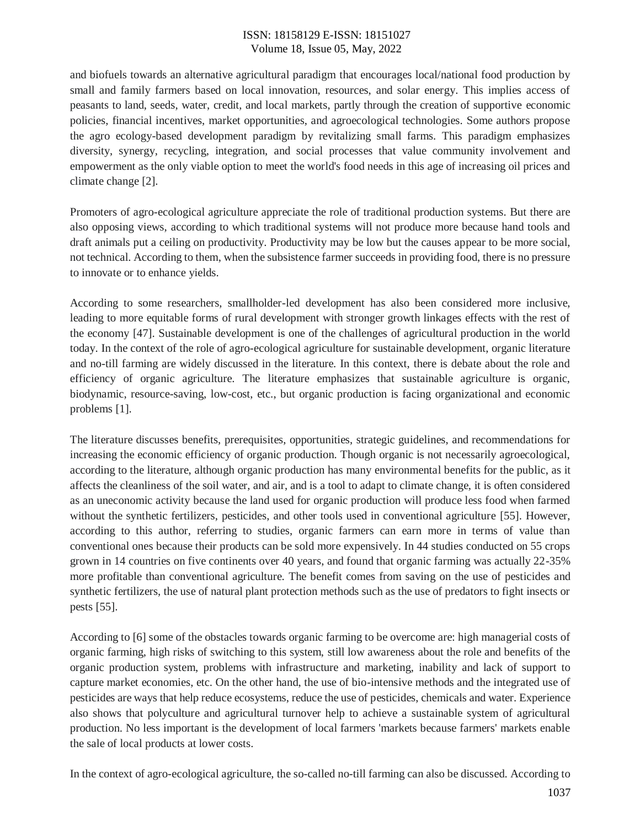and biofuels towards an alternative agricultural paradigm that encourages local/national food production by small and family farmers based on local innovation, resources, and solar energy. This implies access of peasants to land, seeds, water, credit, and local markets, partly through the creation of supportive economic policies, financial incentives, market opportunities, and agroecological technologies. Some authors propose the agro ecology-based development paradigm by revitalizing small farms. This paradigm emphasizes diversity, synergy, recycling, integration, and social processes that value community involvement and empowerment as the only viable option to meet the world's food needs in this age of increasing oil prices and climate change [2].

Promoters of agro-ecological agriculture appreciate the role of traditional production systems. But there are also opposing views, according to which traditional systems will not produce more because hand tools and draft animals put a ceiling on productivity. Productivity may be low but the causes appear to be more social, not technical. According to them, when the subsistence farmer succeeds in providing food, there is no pressure to innovate or to enhance yields.

According to some researchers, smallholder-led development has also been considered more inclusive, leading to more equitable forms of rural development with stronger growth linkages effects with the rest of the economy [47]. Sustainable development is one of the challenges of agricultural production in the world today. In the context of the role of agro-ecological agriculture for sustainable development, organic literature and no-till farming are widely discussed in the literature. In this context, there is debate about the role and efficiency of organic agriculture. The literature emphasizes that sustainable agriculture is organic, biodynamic, resource-saving, low-cost, etc., but organic production is facing organizational and economic problems [1].

The literature discusses benefits, prerequisites, opportunities, strategic guidelines, and recommendations for increasing the economic efficiency of organic production. Though organic is not necessarily agroecological, according to the literature, although organic production has many environmental benefits for the public, as it affects the cleanliness of the soil water, and air, and is a tool to adapt to climate change, it is often considered as an uneconomic activity because the land used for organic production will produce less food when farmed without the synthetic fertilizers, pesticides, and other tools used in conventional agriculture [55]. However, according to this author, referring to studies, organic farmers can earn more in terms of value than conventional ones because their products can be sold more expensively. In 44 studies conducted on 55 crops grown in 14 countries on five continents over 40 years, and found that organic farming was actually 22-35% more profitable than conventional agriculture. The benefit comes from saving on the use of pesticides and synthetic fertilizers, the use of natural plant protection methods such as the use of predators to fight insects or pests [55].

According to [6] some of the obstacles towards organic farming to be overcome are: high managerial costs of organic farming, high risks of switching to this system, still low awareness about the role and benefits of the organic production system, problems with infrastructure and marketing, inability and lack of support to capture market economies, etc. On the other hand, the use of bio-intensive methods and the integrated use of pesticides are ways that help reduce ecosystems, reduce the use of pesticides, chemicals and water. Experience also shows that polyculture and agricultural turnover help to achieve a sustainable system of agricultural production. No less important is the development of local farmers 'markets because farmers' markets enable the sale of local products at lower costs.

In the context of agro-ecological agriculture, the so-called no-till farming can also be discussed. According to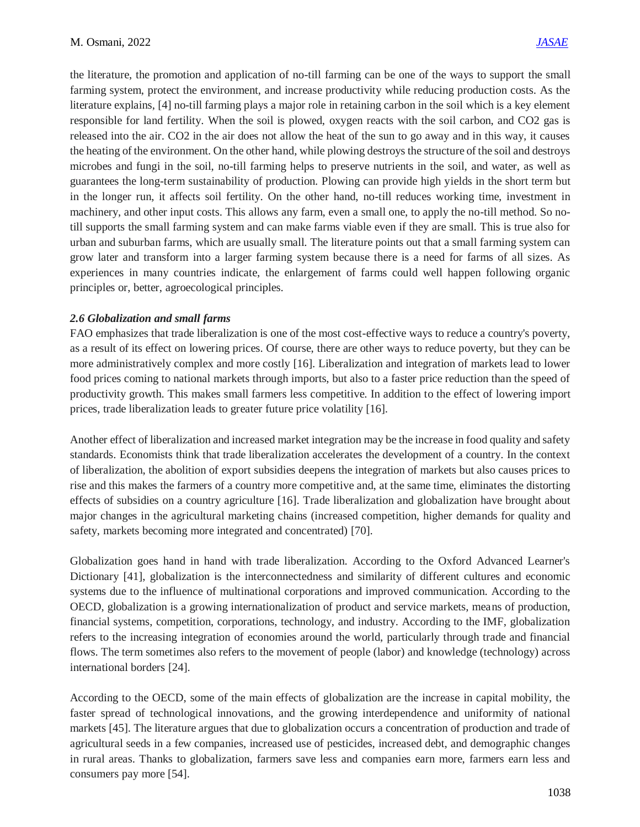the literature, the promotion and application of no-till farming can be one of the ways to support the small farming system, protect the environment, and increase productivity while reducing production costs. As the literature explains, [4] no-till farming plays a major role in retaining carbon in the soil which is a key element responsible for land fertility. When the soil is plowed, oxygen reacts with the soil carbon, and CO2 gas is released into the air. CO2 in the air does not allow the heat of the sun to go away and in this way, it causes the heating of the environment. On the other hand, while plowing destroys the structure of the soil and destroys microbes and fungi in the soil, no-till farming helps to preserve nutrients in the soil, and water, as well as guarantees the long-term sustainability of production. Plowing can provide high yields in the short term but in the longer run, it affects soil fertility. On the other hand, no-till reduces working time, investment in machinery, and other input costs. This allows any farm, even a small one, to apply the no-till method. So notill supports the small farming system and can make farms viable even if they are small. This is true also for urban and suburban farms, which are usually small. The literature points out that a small farming system can grow later and transform into a larger farming system because there is a need for farms of all sizes. As experiences in many countries indicate, the enlargement of farms could well happen following organic principles or, better, agroecological principles.

#### *2.6 Globalization and small farms*

FAO emphasizes that trade liberalization is one of the most cost-effective ways to reduce a country's poverty, as a result of its effect on lowering prices. Of course, there are other ways to reduce poverty, but they can be more administratively complex and more costly [16]. Liberalization and integration of markets lead to lower food prices coming to national markets through imports, but also to a faster price reduction than the speed of productivity growth. This makes small farmers less competitive. In addition to the effect of lowering import prices, trade liberalization leads to greater future price volatility [16].

Another effect of liberalization and increased market integration may be the increase in food quality and safety standards. Economists think that trade liberalization accelerates the development of a country. In the context of liberalization, the abolition of export subsidies deepens the integration of markets but also causes prices to rise and this makes the farmers of a country more competitive and, at the same time, eliminates the distorting effects of subsidies on a country agriculture [16]. Trade liberalization and globalization have brought about major changes in the agricultural marketing chains (increased competition, higher demands for quality and safety, markets becoming more integrated and concentrated) [70].

Globalization goes hand in hand with trade liberalization. According to the Oxford Advanced Learner's Dictionary [41], globalization is the interconnectedness and similarity of different cultures and economic systems due to the influence of multinational corporations and improved communication. According to the OECD, globalization is a growing internationalization of product and service markets, means of production, financial systems, competition, corporations, technology, and industry. According to the IMF, globalization refers to the increasing integration of economies around the world, particularly through trade and financial flows. The term sometimes also refers to the movement of people (labor) and knowledge (technology) across international borders [24].

According to the OECD, some of the main effects of globalization are the increase in capital mobility, the faster spread of technological innovations, and the growing interdependence and uniformity of national markets [45]. The literature argues that due to globalization occurs a concentration of production and trade of agricultural seeds in a few companies, increased use of pesticides, increased debt, and demographic changes in rural areas. Thanks to globalization, farmers save less and companies earn more, farmers earn less and consumers pay more [54].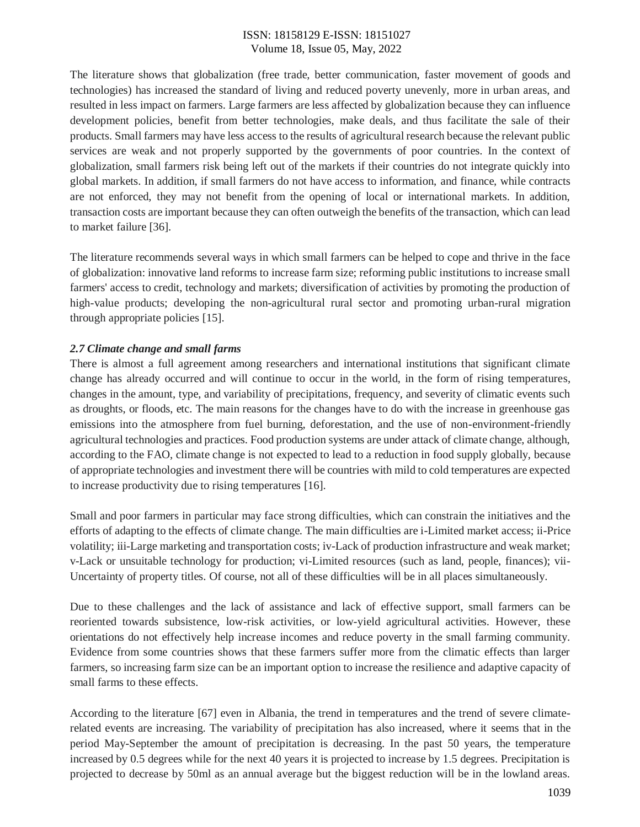The literature shows that globalization (free trade, better communication, faster movement of goods and technologies) has increased the standard of living and reduced poverty unevenly, more in urban areas, and resulted in less impact on farmers. Large farmers are less affected by globalization because they can influence development policies, benefit from better technologies, make deals, and thus facilitate the sale of their products. Small farmers may have less access to the results of agricultural research because the relevant public services are weak and not properly supported by the governments of poor countries. In the context of globalization, small farmers risk being left out of the markets if their countries do not integrate quickly into global markets. In addition, if small farmers do not have access to information, and finance, while contracts are not enforced, they may not benefit from the opening of local or international markets. In addition, transaction costs are important because they can often outweigh the benefits of the transaction, which can lead to market failure [36].

The literature recommends several ways in which small farmers can be helped to cope and thrive in the face of globalization: innovative land reforms to increase farm size; reforming public institutions to increase small farmers' access to credit, technology and markets; diversification of activities by promoting the production of high-value products; developing the non-agricultural rural sector and promoting urban-rural migration through appropriate policies [15].

## *2.7 Climate change and small farms*

There is almost a full agreement among researchers and international institutions that significant climate change has already occurred and will continue to occur in the world, in the form of rising temperatures, changes in the amount, type, and variability of precipitations, frequency, and severity of climatic events such as droughts, or floods, etc. The main reasons for the changes have to do with the increase in greenhouse gas emissions into the atmosphere from fuel burning, deforestation, and the use of non-environment-friendly agricultural technologies and practices. Food production systems are under attack of climate change, although, according to the FAO, climate change is not expected to lead to a reduction in food supply globally, because of appropriate technologies and investment there will be countries with mild to cold temperatures are expected to increase productivity due to rising temperatures [16].

Small and poor farmers in particular may face strong difficulties, which can constrain the initiatives and the efforts of adapting to the effects of climate change. The main difficulties are i-Limited market access; ii-Price volatility; iii-Large marketing and transportation costs; iv-Lack of production infrastructure and weak market; v-Lack or unsuitable technology for production; vi-Limited resources (such as land, people, finances); vii-Uncertainty of property titles. Of course, not all of these difficulties will be in all places simultaneously.

Due to these challenges and the lack of assistance and lack of effective support, small farmers can be reoriented towards subsistence, low-risk activities, or low-yield agricultural activities. However, these orientations do not effectively help increase incomes and reduce poverty in the small farming community. Evidence from some countries shows that these farmers suffer more from the climatic effects than larger farmers, so increasing farm size can be an important option to increase the resilience and adaptive capacity of small farms to these effects.

According to the literature [67] even in Albania, the trend in temperatures and the trend of severe climaterelated events are increasing. The variability of precipitation has also increased, where it seems that in the period May-September the amount of precipitation is decreasing. In the past 50 years, the temperature increased by 0.5 degrees while for the next 40 years it is projected to increase by 1.5 degrees. Precipitation is projected to decrease by 50ml as an annual average but the biggest reduction will be in the lowland areas.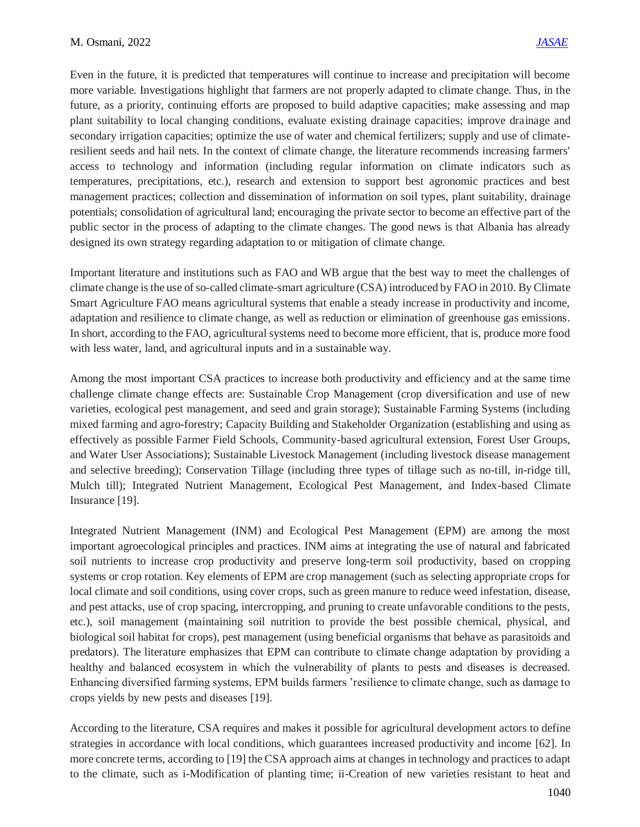Even in the future, it is predicted that temperatures will continue to increase and precipitation will become more variable. Investigations highlight that farmers are not properly adapted to climate change. Thus, in the future, as a priority, continuing efforts are proposed to build adaptive capacities; make assessing and map plant suitability to local changing conditions, evaluate existing drainage capacities; improve drainage and secondary irrigation capacities; optimize the use of water and chemical fertilizers; supply and use of climateresilient seeds and hail nets. In the context of climate change, the literature recommends increasing farmers' access to technology and information (including regular information on climate indicators such as temperatures, precipitations, etc.), research and extension to support best agronomic practices and best management practices; collection and dissemination of information on soil types, plant suitability, drainage potentials; consolidation of agricultural land; encouraging the private sector to become an effective part of the public sector in the process of adapting to the climate changes. The good news is that Albania has already designed its own strategy regarding adaptation to or mitigation of climate change.

Important literature and institutions such as FAO and WB argue that the best way to meet the challenges of climate change is the use of so-called climate-smart agriculture (CSA) introduced by FAO in 2010. By Climate Smart Agriculture FAO means agricultural systems that enable a steady increase in productivity and income, adaptation and resilience to climate change, as well as reduction or elimination of greenhouse gas emissions. In short, according to the FAO, agricultural systems need to become more efficient, that is, produce more food with less water, land, and agricultural inputs and in a sustainable way.

Among the most important CSA practices to increase both productivity and efficiency and at the same time challenge climate change effects are: Sustainable Crop Management (crop diversification and use of new varieties, ecological pest management, and seed and grain storage); Sustainable Farming Systems (including mixed farming and agro-forestry; Capacity Building and Stakeholder Organization (establishing and using as effectively as possible Farmer Field Schools, Community-based agricultural extension, Forest User Groups, and Water User Associations); Sustainable Livestock Management (including livestock disease management and selective breeding); Conservation Tillage (including three types of tillage such as no-till, in-ridge till, Mulch till); Integrated Nutrient Management, Ecological Pest Management, and Index-based Climate Insurance [19].

Integrated Nutrient Management (INM) and Ecological Pest Management (EPM) are among the most important agroecological principles and practices. INM aims at integrating the use of natural and fabricated soil nutrients to increase crop productivity and preserve long-term soil productivity, based on cropping systems or crop rotation. Key elements of EPM are crop management (such as selecting appropriate crops for local climate and soil conditions, using cover crops, such as green manure to reduce weed infestation, disease, and pest attacks, use of crop spacing, intercropping, and pruning to create unfavorable conditions to the pests, etc.), soil management (maintaining soil nutrition to provide the best possible chemical, physical, and biological soil habitat for crops), pest management (using beneficial organisms that behave as parasitoids and predators). The literature emphasizes that EPM can contribute to climate change adaptation by providing a healthy and balanced ecosystem in which the vulnerability of plants to pests and diseases is decreased. Enhancing diversified farming systems, EPM builds farmers 'resilience to climate change, such as damage to crops yields by new pests and diseases [19].

According to the literature, CSA requires and makes it possible for agricultural development actors to define strategies in accordance with local conditions, which guarantees increased productivity and income [62]. In more concrete terms, according to [19] the CSA approach aims at changes in technology and practices to adapt to the climate, such as i-Modification of planting time; ii-Creation of new varieties resistant to heat and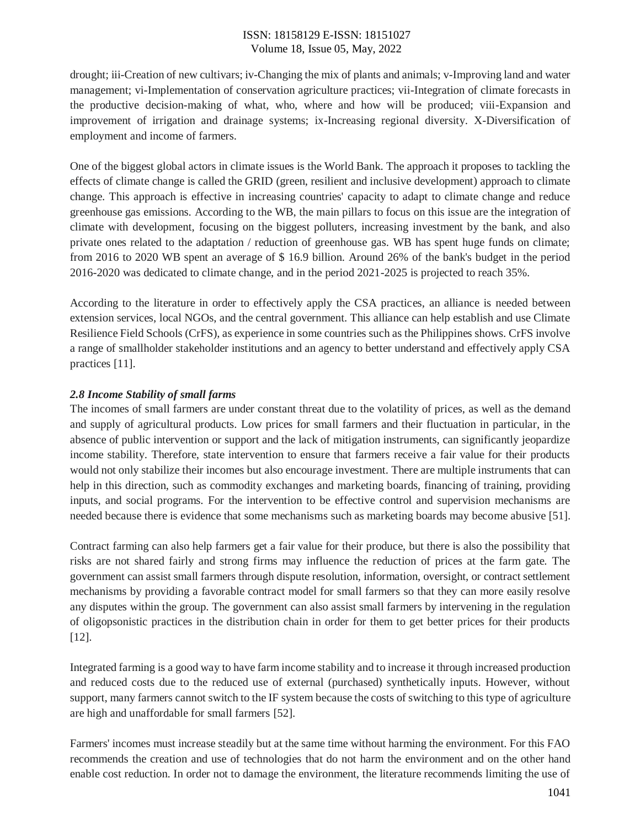drought; iii-Creation of new cultivars; iv-Changing the mix of plants and animals; v-Improving land and water management; vi-Implementation of conservation agriculture practices; vii-Integration of climate forecasts in the productive decision-making of what, who, where and how will be produced; viii-Expansion and improvement of irrigation and drainage systems; ix-Increasing regional diversity. X-Diversification of employment and income of farmers.

One of the biggest global actors in climate issues is the World Bank. The approach it proposes to tackling the effects of climate change is called the GRID (green, resilient and inclusive development) approach to climate change. This approach is effective in increasing countries' capacity to adapt to climate change and reduce greenhouse gas emissions. According to the WB, the main pillars to focus on this issue are the integration of climate with development, focusing on the biggest polluters, increasing investment by the bank, and also private ones related to the adaptation / reduction of greenhouse gas. WB has spent huge funds on climate; from 2016 to 2020 WB spent an average of \$ 16.9 billion. Around 26% of the bank's budget in the period 2016-2020 was dedicated to climate change, and in the period 2021-2025 is projected to reach 35%.

According to the literature in order to effectively apply the CSA practices, an alliance is needed between extension services, local NGOs, and the central government. This alliance can help establish and use Climate Resilience Field Schools (CrFS), as experience in some countries such as the Philippines shows. CrFS involve a range of smallholder stakeholder institutions and an agency to better understand and effectively apply CSA practices [11].

## *2.8 Income Stability of small farms*

The incomes of small farmers are under constant threat due to the volatility of prices, as well as the demand and supply of agricultural products. Low prices for small farmers and their fluctuation in particular, in the absence of public intervention or support and the lack of mitigation instruments, can significantly jeopardize income stability. Therefore, state intervention to ensure that farmers receive a fair value for their products would not only stabilize their incomes but also encourage investment. There are multiple instruments that can help in this direction, such as commodity exchanges and marketing boards, financing of training, providing inputs, and social programs. For the intervention to be effective control and supervision mechanisms are needed because there is evidence that some mechanisms such as marketing boards may become abusive [51].

Contract farming can also help farmers get a fair value for their produce, but there is also the possibility that risks are not shared fairly and strong firms may influence the reduction of prices at the farm gate. The government can assist small farmers through dispute resolution, information, oversight, or contract settlement mechanisms by providing a favorable contract model for small farmers so that they can more easily resolve any disputes within the group. The government can also assist small farmers by intervening in the regulation of oligopsonistic practices in the distribution chain in order for them to get better prices for their products [12].

Integrated farming is a good way to have farm income stability and to increase it through increased production and reduced costs due to the reduced use of external (purchased) synthetically inputs. However, without support, many farmers cannot switch to the IF system because the costs of switching to this type of agriculture are high and unaffordable for small farmers [52].

Farmers' incomes must increase steadily but at the same time without harming the environment. For this FAO recommends the creation and use of technologies that do not harm the environment and on the other hand enable cost reduction. In order not to damage the environment, the literature recommends limiting the use of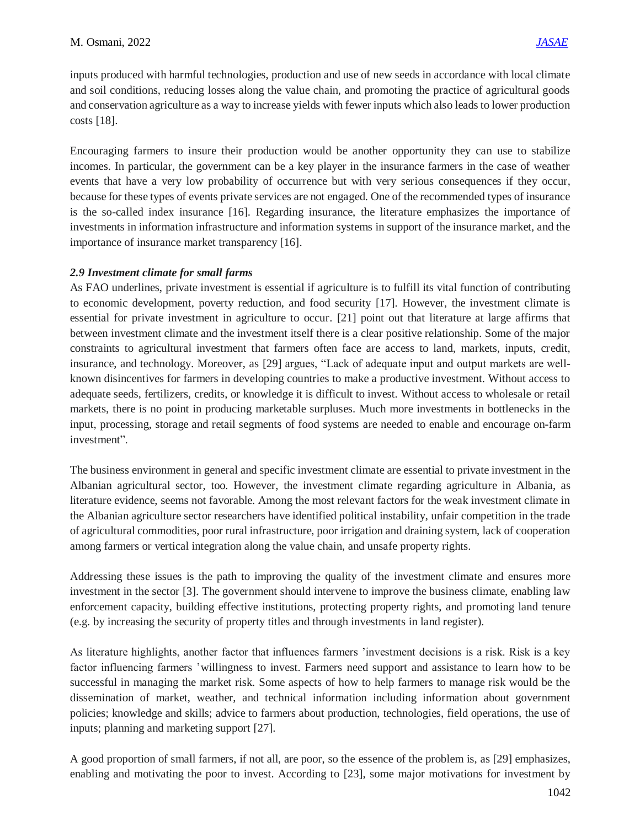inputs produced with harmful technologies, production and use of new seeds in accordance with local climate and soil conditions, reducing losses along the value chain, and promoting the practice of agricultural goods and conservation agriculture as a way to increase yields with fewer inputs which also leads to lower production costs [18].

Encouraging farmers to insure their production would be another opportunity they can use to stabilize incomes. In particular, the government can be a key player in the insurance farmers in the case of weather events that have a very low probability of occurrence but with very serious consequences if they occur, because for these types of events private services are not engaged. One of the recommended types of insurance is the so-called index insurance [16]. Regarding insurance, the literature emphasizes the importance of investments in information infrastructure and information systems in support of the insurance market, and the importance of insurance market transparency [16].

## *2.9 Investment climate for small farms*

As FAO underlines, private investment is essential if agriculture is to fulfill its vital function of contributing to economic development, poverty reduction, and food security [17]. However, the investment climate is essential for private investment in agriculture to occur. [21] point out that literature at large affirms that between investment climate and the investment itself there is a clear positive relationship. Some of the major constraints to agricultural investment that farmers often face are access to land, markets, inputs, credit, insurance, and technology. Moreover, as [29] argues, "Lack of adequate input and output markets are wellknown disincentives for farmers in developing countries to make a productive investment. Without access to adequate seeds, fertilizers, credits, or knowledge it is difficult to invest. Without access to wholesale or retail markets, there is no point in producing marketable surpluses. Much more investments in bottlenecks in the input, processing, storage and retail segments of food systems are needed to enable and encourage on-farm investment".

The business environment in general and specific investment climate are essential to private investment in the Albanian agricultural sector, too. However, the investment climate regarding agriculture in Albania, as literature evidence, seems not favorable. Among the most relevant factors for the weak investment climate in the Albanian agriculture sector researchers have identified political instability, unfair competition in the trade of agricultural commodities, poor rural infrastructure, poor irrigation and draining system, lack of cooperation among farmers or vertical integration along the value chain, and unsafe property rights.

Addressing these issues is the path to improving the quality of the investment climate and ensures more investment in the sector [3]. The government should intervene to improve the business climate, enabling law enforcement capacity, building effective institutions, protecting property rights, and promoting land tenure (e.g. by increasing the security of property titles and through investments in land register).

As literature highlights, another factor that influences farmers 'investment decisions is a risk. Risk is a key factor influencing farmers 'willingness to invest. Farmers need support and assistance to learn how to be successful in managing the market risk. Some aspects of how to help farmers to manage risk would be the dissemination of market, weather, and technical information including information about government policies; knowledge and skills; advice to farmers about production, technologies, field operations, the use of inputs; planning and marketing support [27].

A good proportion of small farmers, if not all, are poor, so the essence of the problem is, as [29] emphasizes, enabling and motivating the poor to invest. According to [23], some major motivations for investment by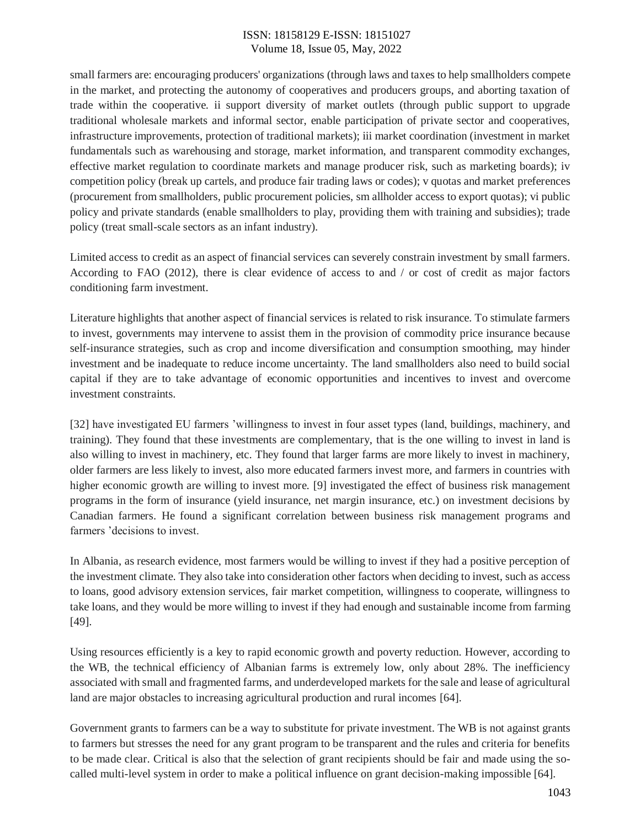small farmers are: encouraging producers' organizations (through laws and taxes to help smallholders compete in the market, and protecting the autonomy of cooperatives and producers groups, and aborting taxation of trade within the cooperative. ii support diversity of market outlets (through public support to upgrade traditional wholesale markets and informal sector, enable participation of private sector and cooperatives, infrastructure improvements, protection of traditional markets); iii market coordination (investment in market fundamentals such as warehousing and storage, market information, and transparent commodity exchanges, effective market regulation to coordinate markets and manage producer risk, such as marketing boards); iv competition policy (break up cartels, and produce fair trading laws or codes); v quotas and market preferences (procurement from smallholders, public procurement policies, sm allholder access to export quotas); vi public policy and private standards (enable smallholders to play, providing them with training and subsidies); trade policy (treat small-scale sectors as an infant industry).

Limited access to credit as an aspect of financial services can severely constrain investment by small farmers. According to FAO (2012), there is clear evidence of access to and / or cost of credit as major factors conditioning farm investment.

Literature highlights that another aspect of financial services is related to risk insurance. To stimulate farmers to invest, governments may intervene to assist them in the provision of commodity price insurance because self-insurance strategies, such as crop and income diversification and consumption smoothing, may hinder investment and be inadequate to reduce income uncertainty. The land smallholders also need to build social capital if they are to take advantage of economic opportunities and incentives to invest and overcome investment constraints.

[32] have investigated EU farmers 'willingness to invest in four asset types (land, buildings, machinery, and training). They found that these investments are complementary, that is the one willing to invest in land is also willing to invest in machinery, etc. They found that larger farms are more likely to invest in machinery, older farmers are less likely to invest, also more educated farmers invest more, and farmers in countries with higher economic growth are willing to invest more. [9] investigated the effect of business risk management programs in the form of insurance (yield insurance, net margin insurance, etc.) on investment decisions by Canadian farmers. He found a significant correlation between business risk management programs and farmers 'decisions to invest.

In Albania, as research evidence, most farmers would be willing to invest if they had a positive perception of the investment climate. They also take into consideration other factors when deciding to invest, such as access to loans, good advisory extension services, fair market competition, willingness to cooperate, willingness to take loans, and they would be more willing to invest if they had enough and sustainable income from farming [49].

Using resources efficiently is a key to rapid economic growth and poverty reduction. However, according to the WB, the technical efficiency of Albanian farms is extremely low, only about 28%. The inefficiency associated with small and fragmented farms, and underdeveloped markets for the sale and lease of agricultural land are major obstacles to increasing agricultural production and rural incomes [64].

Government grants to farmers can be a way to substitute for private investment. The WB is not against grants to farmers but stresses the need for any grant program to be transparent and the rules and criteria for benefits to be made clear. Critical is also that the selection of grant recipients should be fair and made using the socalled multi-level system in order to make a political influence on grant decision-making impossible [64].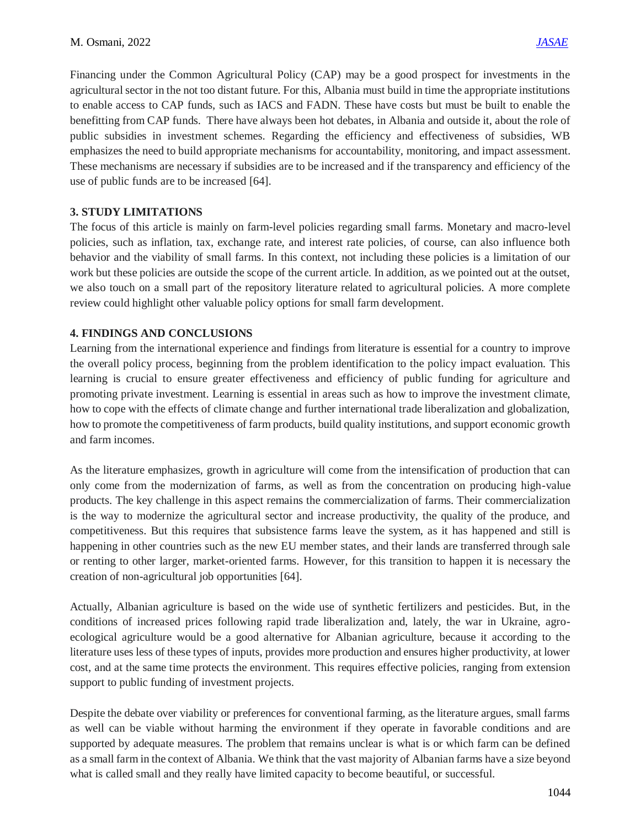Financing under the Common Agricultural Policy (CAP) may be a good prospect for investments in the agricultural sector in the not too distant future. For this, Albania must build in time the appropriate institutions to enable access to CAP funds, such as IACS and FADN. These have costs but must be built to enable the benefitting from CAP funds. There have always been hot debates, in Albania and outside it, about the role of public subsidies in investment schemes. Regarding the efficiency and effectiveness of subsidies, WB emphasizes the need to build appropriate mechanisms for accountability, monitoring, and impact assessment. These mechanisms are necessary if subsidies are to be increased and if the transparency and efficiency of the use of public funds are to be increased [64].

## **3. STUDY LIMITATIONS**

The focus of this article is mainly on farm-level policies regarding small farms. Monetary and macro-level policies, such as inflation, tax, exchange rate, and interest rate policies, of course, can also influence both behavior and the viability of small farms. In this context, not including these policies is a limitation of our work but these policies are outside the scope of the current article. In addition, as we pointed out at the outset, we also touch on a small part of the repository literature related to agricultural policies. A more complete review could highlight other valuable policy options for small farm development.

## **4. FINDINGS AND CONCLUSIONS**

Learning from the international experience and findings from literature is essential for a country to improve the overall policy process, beginning from the problem identification to the policy impact evaluation. This learning is crucial to ensure greater effectiveness and efficiency of public funding for agriculture and promoting private investment. Learning is essential in areas such as how to improve the investment climate, how to cope with the effects of climate change and further international trade liberalization and globalization, how to promote the competitiveness of farm products, build quality institutions, and support economic growth and farm incomes.

As the literature emphasizes, growth in agriculture will come from the intensification of production that can only come from the modernization of farms, as well as from the concentration on producing high-value products. The key challenge in this aspect remains the commercialization of farms. Their commercialization is the way to modernize the agricultural sector and increase productivity, the quality of the produce, and competitiveness. But this requires that subsistence farms leave the system, as it has happened and still is happening in other countries such as the new EU member states, and their lands are transferred through sale or renting to other larger, market-oriented farms. However, for this transition to happen it is necessary the creation of non-agricultural job opportunities [64].

Actually, Albanian agriculture is based on the wide use of synthetic fertilizers and pesticides. But, in the conditions of increased prices following rapid trade liberalization and, lately, the war in Ukraine, agroecological agriculture would be a good alternative for Albanian agriculture, because it according to the literature uses less of these types of inputs, provides more production and ensures higher productivity, at lower cost, and at the same time protects the environment. This requires effective policies, ranging from extension support to public funding of investment projects.

Despite the debate over viability or preferences for conventional farming, as the literature argues, small farms as well can be viable without harming the environment if they operate in favorable conditions and are supported by adequate measures. The problem that remains unclear is what is or which farm can be defined as a small farm in the context of Albania. We think that the vast majority of Albanian farms have a size beyond what is called small and they really have limited capacity to become beautiful, or successful.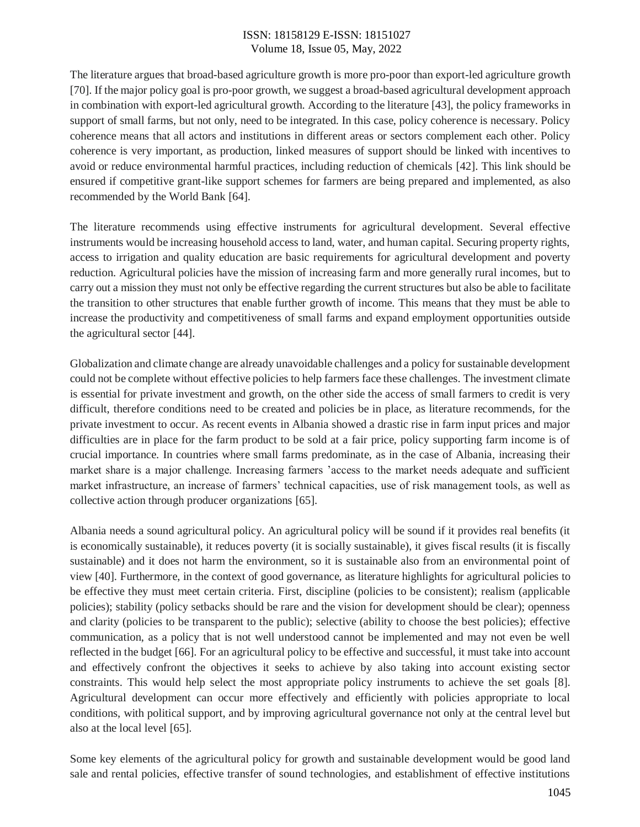The literature argues that broad-based agriculture growth is more pro-poor than export-led agriculture growth [70]. If the major policy goal is pro-poor growth, we suggest a broad-based agricultural development approach in combination with export-led agricultural growth. According to the literature [43], the policy frameworks in support of small farms, but not only, need to be integrated. In this case, policy coherence is necessary. Policy coherence means that all actors and institutions in different areas or sectors complement each other. Policy coherence is very important, as production, linked measures of support should be linked with incentives to avoid or reduce environmental harmful practices, including reduction of chemicals [42]. This link should be ensured if competitive grant-like support schemes for farmers are being prepared and implemented, as also recommended by the World Bank [64].

The literature recommends using effective instruments for agricultural development. Several effective instruments would be increasing household access to land, water, and human capital. Securing property rights, access to irrigation and quality education are basic requirements for agricultural development and poverty reduction. Agricultural policies have the mission of increasing farm and more generally rural incomes, but to carry out a mission they must not only be effective regarding the current structures but also be able to facilitate the transition to other structures that enable further growth of income. This means that they must be able to increase the productivity and competitiveness of small farms and expand employment opportunities outside the agricultural sector [44].

Globalization and climate change are already unavoidable challenges and a policy for sustainable development could not be complete without effective policies to help farmers face these challenges. The investment climate is essential for private investment and growth, on the other side the access of small farmers to credit is very difficult, therefore conditions need to be created and policies be in place, as literature recommends, for the private investment to occur. As recent events in Albania showed a drastic rise in farm input prices and major difficulties are in place for the farm product to be sold at a fair price, policy supporting farm income is of crucial importance. In countries where small farms predominate, as in the case of Albania, increasing their market share is a major challenge. Increasing farmers 'access to the market needs adequate and sufficient market infrastructure, an increase of farmers' technical capacities, use of risk management tools, as well as collective action through producer organizations [65].

Albania needs a sound agricultural policy. An agricultural policy will be sound if it provides real benefits (it is economically sustainable), it reduces poverty (it is socially sustainable), it gives fiscal results (it is fiscally sustainable) and it does not harm the environment, so it is sustainable also from an environmental point of view [40]. Furthermore, in the context of good governance, as literature highlights for agricultural policies to be effective they must meet certain criteria. First, discipline (policies to be consistent); realism (applicable policies); stability (policy setbacks should be rare and the vision for development should be clear); openness and clarity (policies to be transparent to the public); selective (ability to choose the best policies); effective communication, as a policy that is not well understood cannot be implemented and may not even be well reflected in the budget [66]. For an agricultural policy to be effective and successful, it must take into account and effectively confront the objectives it seeks to achieve by also taking into account existing sector constraints. This would help select the most appropriate policy instruments to achieve the set goals [8]. Agricultural development can occur more effectively and efficiently with policies appropriate to local conditions, with political support, and by improving agricultural governance not only at the central level but also at the local level [65].

Some key elements of the agricultural policy for growth and sustainable development would be good land sale and rental policies, effective transfer of sound technologies, and establishment of effective institutions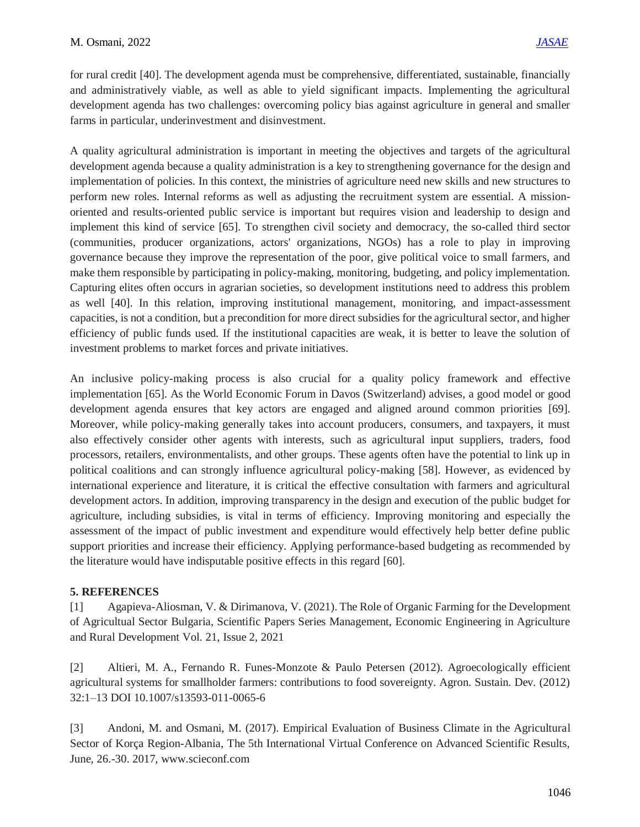for rural credit [40]. The development agenda must be comprehensive, differentiated, sustainable, financially and administratively viable, as well as able to yield significant impacts. Implementing the agricultural development agenda has two challenges: overcoming policy bias against agriculture in general and smaller farms in particular, underinvestment and disinvestment.

A quality agricultural administration is important in meeting the objectives and targets of the agricultural development agenda because a quality administration is a key to strengthening governance for the design and implementation of policies. In this context, the ministries of agriculture need new skills and new structures to perform new roles. Internal reforms as well as adjusting the recruitment system are essential. A missionoriented and results-oriented public service is important but requires vision and leadership to design and implement this kind of service [65]. To strengthen civil society and democracy, the so-called third sector (communities, producer organizations, actors' organizations, NGOs) has a role to play in improving governance because they improve the representation of the poor, give political voice to small farmers, and make them responsible by participating in policy-making, monitoring, budgeting, and policy implementation. Capturing elites often occurs in agrarian societies, so development institutions need to address this problem as well [40]. In this relation, improving institutional management, monitoring, and impact-assessment capacities, is not a condition, but a precondition for more direct subsidies for the agricultural sector, and higher efficiency of public funds used. If the institutional capacities are weak, it is better to leave the solution of investment problems to market forces and private initiatives.

An inclusive policy-making process is also crucial for a quality policy framework and effective implementation [65]. As the World Economic Forum in Davos (Switzerland) advises, a good model or good development agenda ensures that key actors are engaged and aligned around common priorities [69]. Moreover, while policy-making generally takes into account producers, consumers, and taxpayers, it must also effectively consider other agents with interests, such as agricultural input suppliers, traders, food processors, retailers, environmentalists, and other groups. These agents often have the potential to link up in political coalitions and can strongly influence agricultural policy-making [58]. However, as evidenced by international experience and literature, it is critical the effective consultation with farmers and agricultural development actors. In addition, improving transparency in the design and execution of the public budget for agriculture, including subsidies, is vital in terms of efficiency. Improving monitoring and especially the assessment of the impact of public investment and expenditure would effectively help better define public support priorities and increase their efficiency. Applying performance-based budgeting as recommended by the literature would have indisputable positive effects in this regard [60].

# **5. REFERENCES**

[1] Agapieva-Aliosman, V. & Dirimanova, V. (2021). The Role of Organic Farming for the Development of Agricultual Sector Bulgaria, Scientific Papers Series Management, Economic Engineering in Agriculture and Rural Development Vol. 21, Issue 2, 2021

[2] Altieri, M. A., Fernando R. Funes-Monzote & Paulo Petersen (2012). Agroecologically efficient agricultural systems for smallholder farmers: contributions to food sovereignty. Agron. Sustain. Dev. (2012) 32:1–13 DOI 10.1007/s13593-011-0065-6

[3] Andoni, M. and Osmani, M. (2017). Empirical Evaluation of Business Climate in the Agricultural Sector of Korça Region-Albania, The 5th International Virtual Conference on Advanced Scientific Results, June, 26.-30. 2017, www.scieconf.com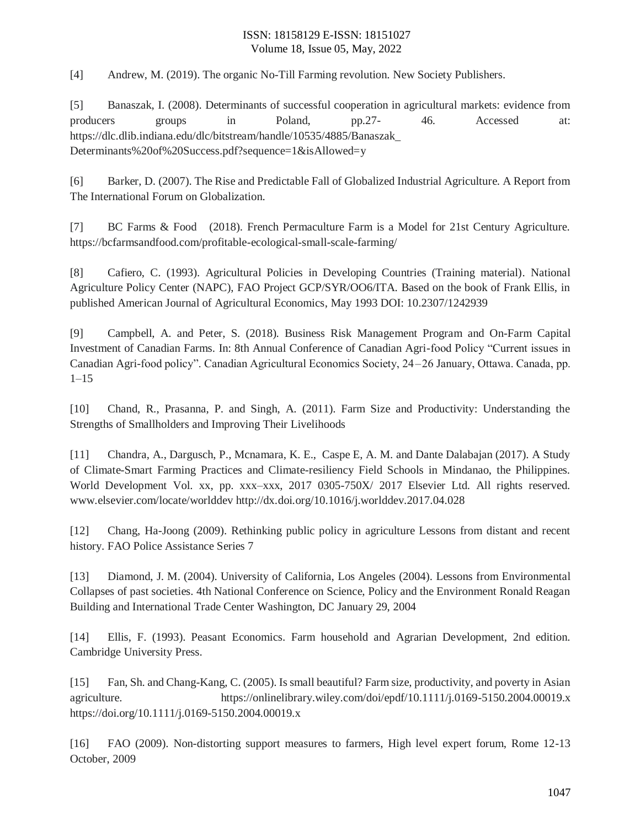[4] Andrew, M. (2019). The organic No-Till Farming revolution. New Society Publishers.

[5] Banaszak, I. (2008). Determinants of successful cooperation in agricultural markets: evidence from producers groups in Poland, pp.27- 46. Accessed at: https://dlc.dlib.indiana.edu/dlc/bitstream/handle/10535/4885/Banaszak\_ Determinants%20of%20Success.pdf?sequence=1&isAllowed=y

[6] Barker, D. (2007). The Rise and Predictable Fall of Globalized Industrial Agriculture. A Report from The International Forum on Globalization.

[7] BC Farms & Food (2018). French Permaculture Farm is a Model for 21st Century Agriculture. https://bcfarmsandfood.com/profitable-ecological-small-scale-farming/

[8] Cafiero, C. (1993). Agricultural Policies in Developing Countries (Training material). National Agriculture Policy Center (NAPC), FAO Project GCP/SYR/OO6/ITA. Based on the book of Frank Ellis, in published American Journal of Agricultural Economics, May 1993 DOI: 10.2307/1242939

[9] Campbell, A. and Peter, S. (2018). Business Risk Management Program and On-Farm Capital Investment of Canadian Farms. In: 8th Annual Conference of Canadian Agri-food Policy "Current issues in Canadian Agri-food policy". Canadian Agricultural Economics Society, 24 – 26 January, Ottawa. Canada, pp.  $1 - 15$ 

[10] Chand, R., Prasanna, P. and Singh, A. (2011). Farm Size and Productivity: Understanding the Strengths of Smallholders and Improving Their Livelihoods

[11] Chandra, A., Dargusch, P., Mcnamara, K. E., Caspe E, A. M. and Dante Dalabajan (2017). A Study of Climate-Smart Farming Practices and Climate-resiliency Field Schools in Mindanao, the Philippines. World Development Vol. xx, pp. xxx–xxx, 2017 0305-750X/ 2017 Elsevier Ltd. All rights reserved. www.elsevier.com/locate/worlddev http://dx.doi.org/10.1016/j.worlddev.2017.04.028

[12] Chang, Ha-Joong (2009). Rethinking public policy in agriculture Lessons from distant and recent history. FAO Police Assistance Series 7

[13] Diamond, J. M. (2004). University of California, Los Angeles (2004). Lessons from Environmental Collapses of past societies. 4th National Conference on Science, Policy and the Environment Ronald Reagan Building and International Trade Center Washington, DC January 29, 2004

[14] Ellis, F. (1993). Peasant Economics. Farm household and Agrarian Development, 2nd edition. Cambridge University Press.

[15] Fan, Sh. and Chang-Kang, C. (2005). Is small beautiful? Farm size, productivity, and poverty in Asian agriculture. https://onlinelibrary.wiley.com/doi/epdf/10.1111/j.0169-5150.2004.00019.x https://doi.org/10.1111/j.0169-5150.2004.00019.x

[16] FAO (2009). Non-distorting support measures to farmers, High level expert forum, Rome 12-13 October, 2009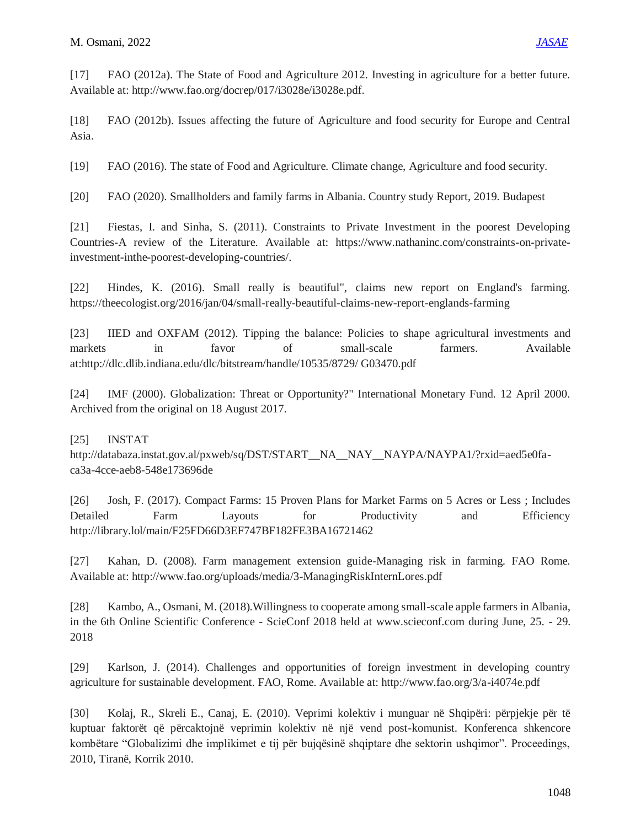[17] FAO (2012a). The State of Food and Agriculture 2012. Investing in agriculture for a better future. Available at: http://www.fao.org/docrep/017/i3028e/i3028e.pdf.

[18] FAO (2012b). Issues affecting the future of Agriculture and food security for Europe and Central Asia.

[19] FAO (2016). The state of Food and Agriculture. Climate change, Agriculture and food security.

[20] FAO (2020). Smallholders and family farms in Albania. Country study Report, 2019. Budapest

[21] Fiestas, I. and Sinha, S. (2011). Constraints to Private Investment in the poorest Developing Countries-A review of the Literature. Available at: https://www.nathaninc.com/constraints-on-privateinvestment-inthe-poorest-developing-countries/.

[22] Hindes, K. (2016). Small really is beautiful", claims new report on England's farming. https://theecologist.org/2016/jan/04/small-really-beautiful-claims-new-report-englands-farming

[23] IIED and OXFAM (2012). Tipping the balance: Policies to shape agricultural investments and markets in favor of small-scale farmers. Available at:http://dlc.dlib.indiana.edu/dlc/bitstream/handle/10535/8729/ G03470.pdf

[24] IMF (2000). Globalization: Threat or Opportunity?" International Monetary Fund. 12 April 2000. Archived from the original on 18 August 2017.

## [25] INSTAT

http://databaza.instat.gov.al/pxweb/sq/DST/START\_NA\_NAY\_NAYPA/NAYPA1/?rxid=aed5e0faca3a-4cce-aeb8-548e173696de

[26] Josh, F. (2017). Compact Farms: 15 Proven Plans for Market Farms on 5 Acres or Less ; Includes Detailed Farm Layouts for Productivity and Efficiency http://library.lol/main/F25FD66D3EF747BF182FE3BA16721462

[27] Kahan, D. (2008). Farm management extension guide-Managing risk in farming. FAO Rome. Available at: http://www.fao.org/uploads/media/3-ManagingRiskInternLores.pdf

[28] Kambo, A., Osmani, M. (2018).Willingness to cooperate among small-scale apple farmers in Albania, in the 6th Online Scientific Conference - ScieConf 2018 held at www.scieconf.com during June, 25. - 29. 2018

[29] Karlson, J. (2014). Challenges and opportunities of foreign investment in developing country agriculture for sustainable development. FAO, Rome. Available at: http://www.fao.org/3/a-i4074e.pdf

[30] Kolaj, R., Skreli E., Canaj, E. (2010). Veprimi kolektiv i munguar në Shqipëri: përpjekje për të kuptuar faktorët që përcaktojnë veprimin kolektiv në një vend post-komunist. Konferenca shkencore kombëtare "Globalizimi dhe implikimet e tij për bujqësinë shqiptare dhe sektorin ushqimor". Proceedings, 2010, Tiranë, Korrik 2010.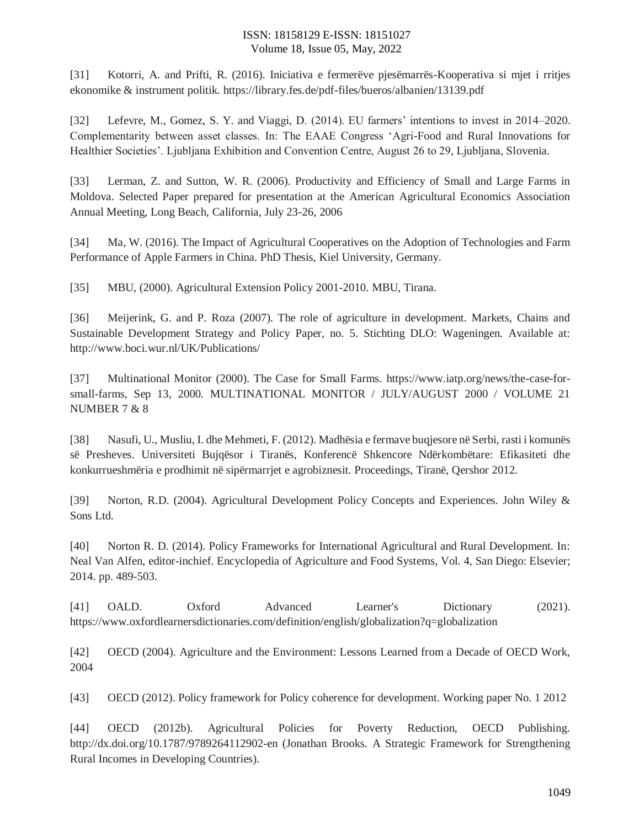[31] Kotorri, A. and Prifti, R. (2016). Iniciativa e fermerëve pjesëmarrës-Kooperativa si mjet i rritjes ekonomike & instrument politik. https://library.fes.de/pdf-files/bueros/albanien/13139.pdf

[32] Lefevre, M., Gomez, S. Y. and Viaggi, D. (2014). EU farmers' intentions to invest in 2014–2020. Complementarity between asset classes. In: The EAAE Congress 'Agri-Food and Rural Innovations for Healthier Societies'. Ljubljana Exhibition and Convention Centre, August 26 to 29, Ljubljana, Slovenia.

[33] Lerman, Z. and Sutton, W. R. (2006). Productivity and Efficiency of Small and Large Farms in Moldova. Selected Paper prepared for presentation at the American Agricultural Economics Association Annual Meeting, Long Beach, California, July 23-26, 2006

[34] Ma, W. (2016). The Impact of Agricultural Cooperatives on the Adoption of Technologies and Farm Performance of Apple Farmers in China. PhD Thesis, Kiel University, Germany.

[35] MBU, (2000). Agricultural Extension Policy 2001-2010. MBU, Tirana.

[36] Meijerink, G. and P. Roza (2007). The role of agriculture in development. Markets, Chains and Sustainable Development Strategy and Policy Paper, no. 5. Stichting DLO: Wageningen. Available at: http://www.boci.wur.nl/UK/Publications/

[37] Multinational Monitor (2000). The Case for Small Farms. https://www.iatp.org/news/the-case-forsmall-farms, Sep 13, 2000. MULTINATIONAL MONITOR / JULY/AUGUST 2000 / VOLUME 21 NUMBER 7 & 8

[38] Nasufi, U., Musliu, I. dhe Mehmeti, F. (2012). Madhësia e fermave buqjesore në Serbi, rasti i komunës së Presheves. Universiteti Bujqësor i Tiranës, Konferencë Shkencore Ndërkombëtare: Efikasiteti dhe konkurrueshmëria e prodhimit në sipërmarrjet e agrobiznesit. Proceedings, Tiranë, Qershor 2012.

[39] Norton, R.D. (2004). Agricultural Development Policy Concepts and Experiences. John Wiley & Sons Ltd.

[40] Norton R. D. (2014). Policy Frameworks for International Agricultural and Rural Development. In: Neal Van Alfen, editor-inchief. Encyclopedia of Agriculture and Food Systems, Vol. 4, San Diego: Elsevier; 2014. pp. 489-503.

[41] OALD. Oxford Advanced Learner's Dictionary (2021). https://www.oxfordlearnersdictionaries.com/definition/english/globalization?q=globalization

[42] OECD (2004). Agriculture and the Environment: Lessons Learned from a Decade of OECD Work, 2004

[43] OECD (2012). Policy framework for Policy coherence for development. Working paper No. 1 2012

[44] OECD (2012b). Agricultural Policies for Poverty Reduction, OECD Publishing. bttp://dx.doi.org/10.1787/9789264112902-en (Jonathan Brooks. A Strategic Framework for Strengthening Rural Incomes in Developing Countries).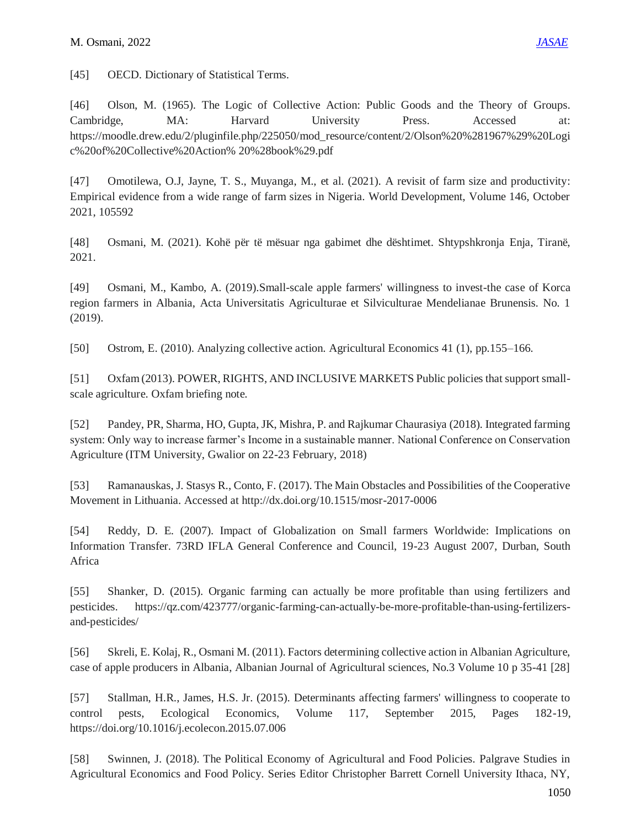[45] OECD. Dictionary of Statistical Terms.

[46] Olson, M. (1965). The Logic of Collective Action: Public Goods and the Theory of Groups. Cambridge, MA: Harvard University Press. Accessed at: https://moodle.drew.edu/2/pluginfile.php/225050/mod\_resource/content/2/Olson%20%281967%29%20Logi c%20of%20Collective%20Action% 20%28book%29.pdf

[47] Omotilewa, O.J, Jayne, T. S., Muyanga, M., et al. (2021). A revisit of farm size and productivity: Empirical evidence from a wide range of farm sizes in Nigeria. World Development, Volume 146, October 2021, 105592

[48] Osmani, M. (2021). Kohë për të mësuar nga gabimet dhe dështimet. Shtypshkronja Enja, Tiranë, 2021.

[49] Osmani, M., Kambo, A. (2019).Small-scale apple farmers' willingness to invest-the case of Korca region farmers in Albania, Acta Universitatis Agriculturae et Silviculturae Mendelianae Brunensis. No. 1 (2019).

[50] Ostrom, E. (2010). Analyzing collective action. Agricultural Economics 41 (1), pp.155–166.

[51] Oxfam (2013). POWER, RIGHTS, AND INCLUSIVE MARKETS Public policies that support smallscale agriculture. Oxfam briefing note.

[52] Pandey, PR, Sharma, HO, Gupta, JK, Mishra, P. and Rajkumar Chaurasiya (2018). Integrated farming system: Only way to increase farmer's Income in a sustainable manner. National Conference on Conservation Agriculture (ITM University, Gwalior on 22-23 February, 2018)

[53] Ramanauskas, J. Stasys R., Conto, F. (2017). The Main Obstacles and Possibilities of the Cooperative Movement in Lithuania. Accessed at http://dx.doi.org/10.1515/mosr-2017-0006

[54] Reddy, D. E. (2007). Impact of Globalization on Small farmers Worldwide: Implications on Information Transfer. 73RD IFLA General Conference and Council, 19-23 August 2007, Durban, South Africa

[55] Shanker, D. (2015). Organic farming can actually be more profitable than using fertilizers and pesticides. https://qz.com/423777/organic-farming-can-actually-be-more-profitable-than-using-fertilizersand-pesticides/

[56] Skreli, E. Kolaj, R., Osmani M. (2011). Factors determining collective action in Albanian Agriculture, case of apple producers in Albania, Albanian Journal of Agricultural sciences, No.3 Volume 10 p 35-41 [28]

[57] Stallman, H.R., James, H.S. Jr. (2015). Determinants affecting farmers' willingness to cooperate to control pests, Ecological Economics, Volume 117, September 2015, Pages 182-19, https://doi.org/10.1016/j.ecolecon.2015.07.006

[58] Swinnen, J. (2018). The Political Economy of Agricultural and Food Policies. Palgrave Studies in Agricultural Economics and Food Policy. Series Editor Christopher Barrett Cornell University Ithaca, NY,